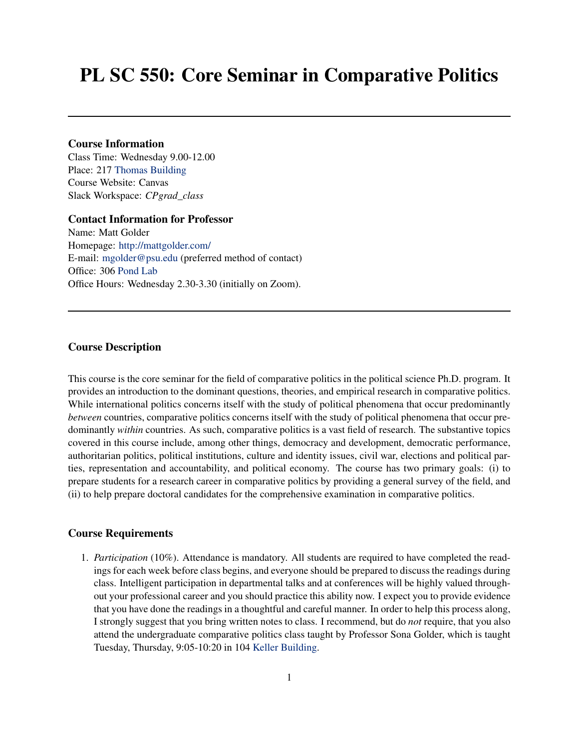# PL SC 550: Core Seminar in Comparative Politics

#### Course Information

Class Time: Wednesday 9.00-12.00 Place: 217 [Thomas Building](https://www.map.psu.edu/?id=1134#!m/302641?ct/33177,25403,26748,26749,26750,27255,54364) Course Website: Canvas Slack Workspace: *CPgrad\_class*

## Contact Information for Professor

Name: Matt Golder Homepage: <http://mattgolder.com/> E-mail: [mgolder@psu.edu](mailto:mgolder@psu.edu) (preferred method of contact) Office: 306 [Pond Lab](http://www.registrar.psu.edu/soc_maps/pond.html) Office Hours: Wednesday 2.30-3.30 (initially on Zoom).

## Course Description

This course is the core seminar for the field of comparative politics in the political science Ph.D. program. It provides an introduction to the dominant questions, theories, and empirical research in comparative politics. While international politics concerns itself with the study of political phenomena that occur predominantly *between* countries, comparative politics concerns itself with the study of political phenomena that occur predominantly *within* countries. As such, comparative politics is a vast field of research. The substantive topics covered in this course include, among other things, democracy and development, democratic performance, authoritarian politics, political institutions, culture and identity issues, civil war, elections and political parties, representation and accountability, and political economy. The course has two primary goals: (i) to prepare students for a research career in comparative politics by providing a general survey of the field, and (ii) to help prepare doctoral candidates for the comprehensive examination in comparative politics.

## Course Requirements

1. *Participation* (10%). Attendance is mandatory. All students are required to have completed the readings for each week before class begins, and everyone should be prepared to discuss the readings during class. Intelligent participation in departmental talks and at conferences will be highly valued throughout your professional career and you should practice this ability now. I expect you to provide evidence that you have done the readings in a thoughtful and careful manner. In order to help this process along, I strongly suggest that you bring written notes to class. I recommend, but do *not* require, that you also attend the undergraduate comparative politics class taught by Professor Sona Golder, which is taught Tuesday, Thursday, 9:05-10:20 in 104 [Keller Building.](https://www.map.psu.edu/?id=1134#!m/272191?ct/33177,25403,26748,26749,26750,27255)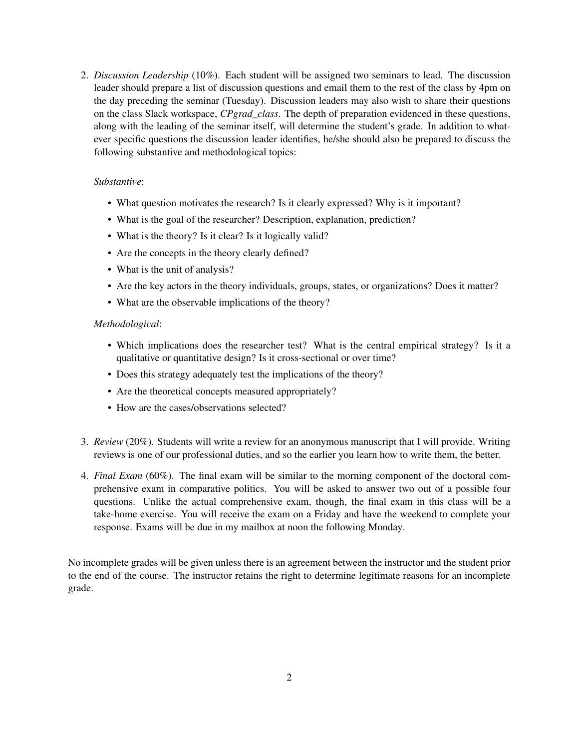2. *Discussion Leadership* (10%). Each student will be assigned two seminars to lead. The discussion leader should prepare a list of discussion questions and email them to the rest of the class by 4pm on the day preceding the seminar (Tuesday). Discussion leaders may also wish to share their questions on the class Slack workspace, *CPgrad\_class*. The depth of preparation evidenced in these questions, along with the leading of the seminar itself, will determine the student's grade. In addition to whatever specific questions the discussion leader identifies, he/she should also be prepared to discuss the following substantive and methodological topics:

## *Substantive*:

- What question motivates the research? Is it clearly expressed? Why is it important?
- What is the goal of the researcher? Description, explanation, prediction?
- What is the theory? Is it clear? Is it logically valid?
- Are the concepts in the theory clearly defined?
- What is the unit of analysis?
- Are the key actors in the theory individuals, groups, states, or organizations? Does it matter?
- What are the observable implications of the theory?

## *Methodological*:

- Which implications does the researcher test? What is the central empirical strategy? Is it a qualitative or quantitative design? Is it cross-sectional or over time?
- Does this strategy adequately test the implications of the theory?
- Are the theoretical concepts measured appropriately?
- How are the cases/observations selected?
- 3. *Review* (20%). Students will write a review for an anonymous manuscript that I will provide. Writing reviews is one of our professional duties, and so the earlier you learn how to write them, the better.
- 4. *Final Exam* (60%). The final exam will be similar to the morning component of the doctoral comprehensive exam in comparative politics. You will be asked to answer two out of a possible four questions. Unlike the actual comprehensive exam, though, the final exam in this class will be a take-home exercise. You will receive the exam on a Friday and have the weekend to complete your response. Exams will be due in my mailbox at noon the following Monday.

No incomplete grades will be given unless there is an agreement between the instructor and the student prior to the end of the course. The instructor retains the right to determine legitimate reasons for an incomplete grade.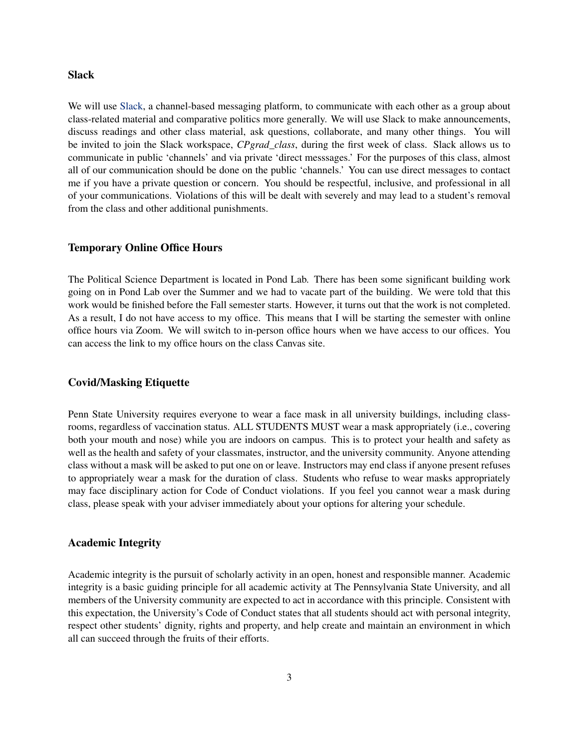#### Slack

We will use [Slack,](https://slack.com/) a channel-based messaging platform, to communicate with each other as a group about class-related material and comparative politics more generally. We will use Slack to make announcements, discuss readings and other class material, ask questions, collaborate, and many other things. You will be invited to join the Slack workspace, *CPgrad\_class*, during the first week of class. Slack allows us to communicate in public 'channels' and via private 'direct messsages.' For the purposes of this class, almost all of our communication should be done on the public 'channels.' You can use direct messages to contact me if you have a private question or concern. You should be respectful, inclusive, and professional in all of your communications. Violations of this will be dealt with severely and may lead to a student's removal from the class and other additional punishments.

#### Temporary Online Office Hours

The Political Science Department is located in Pond Lab. There has been some significant building work going on in Pond Lab over the Summer and we had to vacate part of the building. We were told that this work would be finished before the Fall semester starts. However, it turns out that the work is not completed. As a result, I do not have access to my office. This means that I will be starting the semester with online office hours via Zoom. We will switch to in-person office hours when we have access to our offices. You can access the link to my office hours on the class Canvas site.

## Covid/Masking Etiquette

Penn State University requires everyone to wear a face mask in all university buildings, including classrooms, regardless of vaccination status. ALL STUDENTS MUST wear a mask appropriately (i.e., covering both your mouth and nose) while you are indoors on campus. This is to protect your health and safety as well as the health and safety of your classmates, instructor, and the university community. Anyone attending class without a mask will be asked to put one on or leave. Instructors may end class if anyone present refuses to appropriately wear a mask for the duration of class. Students who refuse to wear masks appropriately may face disciplinary action for Code of Conduct violations. If you feel you cannot wear a mask during class, please speak with your adviser immediately about your options for altering your schedule.

## Academic Integrity

Academic integrity is the pursuit of scholarly activity in an open, honest and responsible manner. Academic integrity is a basic guiding principle for all academic activity at The Pennsylvania State University, and all members of the University community are expected to act in accordance with this principle. Consistent with this expectation, the University's Code of Conduct states that all students should act with personal integrity, respect other students' dignity, rights and property, and help create and maintain an environment in which all can succeed through the fruits of their efforts.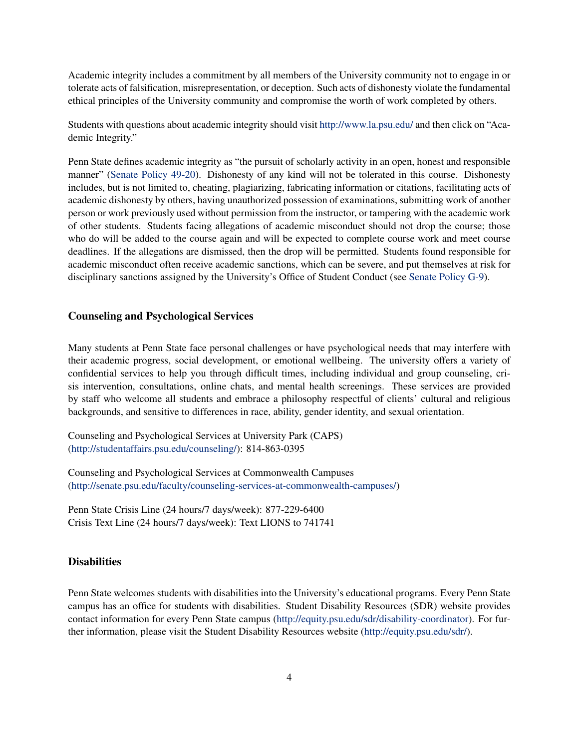Academic integrity includes a commitment by all members of the University community not to engage in or tolerate acts of falsification, misrepresentation, or deception. Such acts of dishonesty violate the fundamental ethical principles of the University community and compromise the worth of work completed by others.

Students with questions about academic integrity should visit <http://www.la.psu.edu/> and then click on "Academic Integrity."

Penn State defines academic integrity as "the pursuit of scholarly activity in an open, honest and responsible manner" [\(Senate Policy 49-20\)](https://senate.psu.edu/policies-and-rules-for-undergraduate-students/47-00-48-00-and-49-00-grades/#49-20). Dishonesty of any kind will not be tolerated in this course. Dishonesty includes, but is not limited to, cheating, plagiarizing, fabricating information or citations, facilitating acts of academic dishonesty by others, having unauthorized possession of examinations, submitting work of another person or work previously used without permission from the instructor, or tampering with the academic work of other students. Students facing allegations of academic misconduct should not drop the course; those who do will be added to the course again and will be expected to complete course work and meet course deadlines. If the allegations are dismissed, then the drop will be permitted. Students found responsible for academic misconduct often receive academic sanctions, which can be severe, and put themselves at risk for disciplinary sanctions assigned by the University's Office of Student Conduct (see [Senate Policy G-9\)](https://undergrad.psu.edu/aappm/G-9-academic-integrity.html).

## Counseling and Psychological Services

Many students at Penn State face personal challenges or have psychological needs that may interfere with their academic progress, social development, or emotional wellbeing. The university offers a variety of confidential services to help you through difficult times, including individual and group counseling, crisis intervention, consultations, online chats, and mental health screenings. These services are provided by staff who welcome all students and embrace a philosophy respectful of clients' cultural and religious backgrounds, and sensitive to differences in race, ability, gender identity, and sexual orientation.

Counseling and Psychological Services at University Park (CAPS) [\(http://studentaffairs.psu.edu/counseling/\)](https://studentaffairs.psu.edu/counseling): 814-863-0395

Counseling and Psychological Services at Commonwealth Campuses [\(http://senate.psu.edu/faculty/counseling-services-at-commonwealth-campuses/\)](http://senate.psu.edu/faculty/counseling-services-at-commonwealth-campuses/)

Penn State Crisis Line (24 hours/7 days/week): 877-229-6400 Crisis Text Line (24 hours/7 days/week): Text LIONS to 741741

## **Disabilities**

Penn State welcomes students with disabilities into the University's educational programs. Every Penn State campus has an office for students with disabilities. Student Disability Resources (SDR) website provides contact information for every Penn State campus [\(http://equity.psu.edu/sdr/disability-coordinator\)](http://equity.psu.edu/student-disability-resources/campus-disability-coordinators). For further information, please visit the Student Disability Resources website [\(http://equity.psu.edu/sdr/\)](http://equity.psu.edu/student-disability-resources/).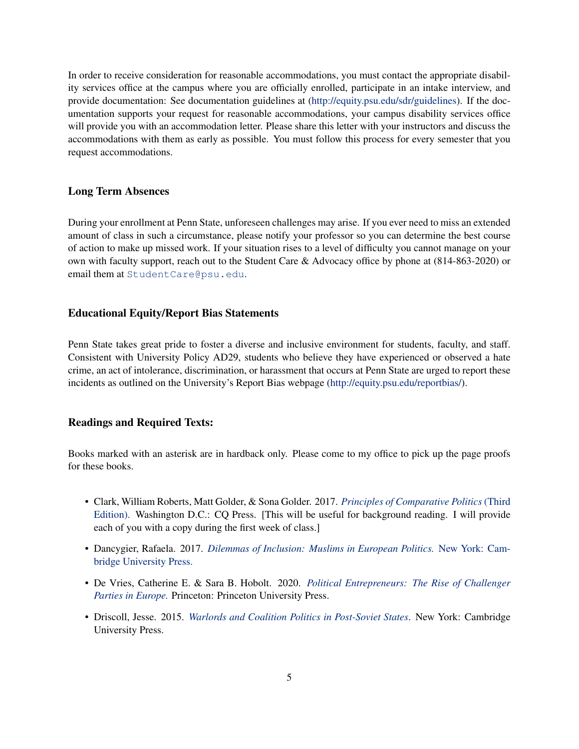In order to receive consideration for reasonable accommodations, you must contact the appropriate disability services office at the campus where you are officially enrolled, participate in an intake interview, and provide documentation: See documentation guidelines at [\(http://equity.psu.edu/sdr/guidelines\)](http://equity.psu.edu/student-disability-resources/applying-for-services/documentation-guidelines). If the documentation supports your request for reasonable accommodations, your campus disability services office will provide you with an accommodation letter. Please share this letter with your instructors and discuss the accommodations with them as early as possible. You must follow this process for every semester that you request accommodations.

## Long Term Absences

During your enrollment at Penn State, unforeseen challenges may arise. If you ever need to miss an extended amount of class in such a circumstance, please notify your professor so you can determine the best course of action to make up missed work. If your situation rises to a level of difficulty you cannot manage on your own with faculty support, reach out to the Student Care & Advocacy office by phone at (814-863-2020) or email them at [StudentCare@psu.edu](mailto:StudentCare@psu.edu).

## Educational Equity/Report Bias Statements

Penn State takes great pride to foster a diverse and inclusive environment for students, faculty, and staff. Consistent with University Policy AD29, students who believe they have experienced or observed a hate crime, an act of intolerance, discrimination, or harassment that occurs at Penn State are urged to report these incidents as outlined on the University's Report Bias webpage [\(http://equity.psu.edu/reportbias/\)](http://equity.psu.edu/reportbias/).

## Readings and Required Texts:

Books marked with an asterisk are in hardback only. Please come to my office to pick up the page proofs for these books.

- Clark, William Roberts, Matt Golder, & Sona Golder. 2017. *[Principles of Comparative Politics](https://us.sagepub.com/en-us/nam/principles-of-comparative-politics/book243842)* (Third [Edition\).](https://us.sagepub.com/en-us/nam/principles-of-comparative-politics/book243842) Washington D.C.: CQ Press. [This will be useful for background reading. I will provide each of you with a copy during the first week of class.]
- Dancygier, Rafaela. 2017. *[Dilemmas of Inclusion: Muslims in European Politics.](https://www.amazon.com/Dilemmas-Inclusion-Muslims-European-Politics/dp/0691172609)* New York: Cam[bridge University Press.](https://www.amazon.com/Dilemmas-Inclusion-Muslims-European-Politics/dp/0691172609)
- De Vries, Catherine E. & Sara B. Hobolt. 2020. *[Political Entrepreneurs: The Rise of Challenger](https://www.amazon.com/Political-Entrepreneurs-Challenger-Parties-Europe/dp/0691194750) [Parties in Europe.](https://www.amazon.com/Political-Entrepreneurs-Challenger-Parties-Europe/dp/0691194750)* Princeton: Princeton University Press.
- Driscoll, Jesse. 2015. *[Warlords and Coalition Politics in Post-Soviet States](https://www.amazon.com/Warlords-Coalition-Post-Soviet-Cambridge-Comparative-dp-1107636450/dp/1107636450/ref=mt_other?_encoding=UTF8&me=&qid=)*. New York: Cambridge University Press.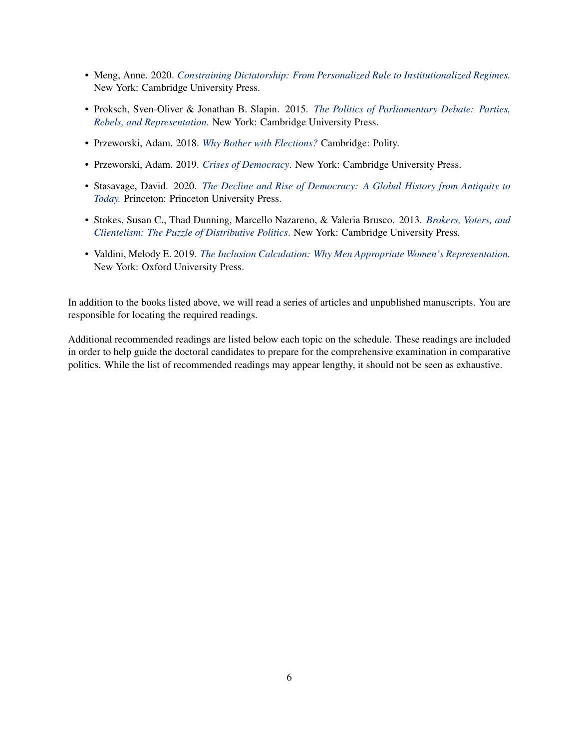- Meng, Anne. 2020. *[Constraining Dictatorship: From Personalized Rule to Institutionalized Regimes.](https://www.amazon.com/Constraining-Dictatorship-Personalized-Institutionalized-Institutions/dp/1108792472)* New York: Cambridge University Press.
- Proksch, Sven-Oliver & Jonathan B. Slapin. 2015. *[The Politics of Parliamentary Debate: Parties,](https://www.amazon.com/Politics-Parliamentary-Debate-Svenoliver-Proksch-dp-1107421071/dp/1107421071/ref=mt_other?_encoding=UTF8&me=&qid=) [Rebels, and Representation.](https://www.amazon.com/Politics-Parliamentary-Debate-Svenoliver-Proksch-dp-1107421071/dp/1107421071/ref=mt_other?_encoding=UTF8&me=&qid=)* New York: Cambridge University Press.
- Przeworski, Adam. 2018. *[Why Bother with Elections?](https://www.amazon.com/Why-Bother-Elections-Adam-Przeworski/dp/1509526609)* Cambridge: Polity.
- Przeworski, Adam. 2019. *[Crises of Democracy](https://www.amazon.com/Crises-Democracy-Adam-Przeworski/dp/1108498809)*. New York: Cambridge University Press.
- Stasavage, David. 2020. *[The Decline and Rise of Democracy: A Global History from Antiquity to](https://www.amazon.com/Decline-Rise-Democracy-Antiquity-Princeton/dp/0691228973/ref=tmm_pap_swatch_0?_encoding=UTF8&qid=&sr=) [Today.](https://www.amazon.com/Decline-Rise-Democracy-Antiquity-Princeton/dp/0691228973/ref=tmm_pap_swatch_0?_encoding=UTF8&qid=&sr=)* Princeton: Princeton University Press.
- Stokes, Susan C., Thad Dunning, Marcello Nazareno, & Valeria Brusco. 2013. *[Brokers, Voters, and](https://www.amazon.com/Brokers-Voters-Clientelism-Distributive-Comparative/dp/1107660394) [Clientelism: The Puzzle of Distributive Politics](https://www.amazon.com/Brokers-Voters-Clientelism-Distributive-Comparative/dp/1107660394)*. New York: Cambridge University Press.
- Valdini, Melody E. 2019. *[The Inclusion Calculation: Why Men Appropriate Women's Representation.](https://www.amazon.com/Inclusion-Calculation-Appropriate-Womens-Representation-dp-0190936207/dp/0190936207/ref=mt_other?_encoding=UTF8&me=&qid=)* New York: Oxford University Press.

In addition to the books listed above, we will read a series of articles and unpublished manuscripts. You are responsible for locating the required readings.

Additional recommended readings are listed below each topic on the schedule. These readings are included in order to help guide the doctoral candidates to prepare for the comprehensive examination in comparative politics. While the list of recommended readings may appear lengthy, it should not be seen as exhaustive.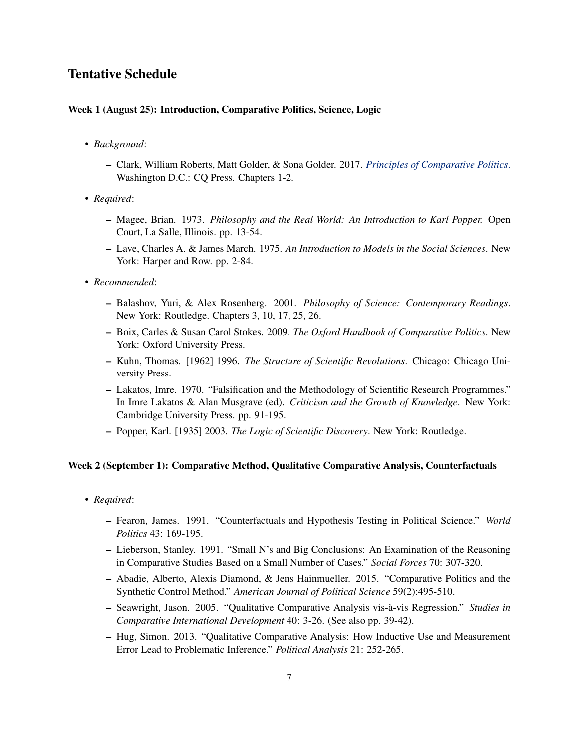## Tentative Schedule

## Week 1 (August 25): Introduction, Comparative Politics, Science, Logic

- *Background*:
	- Clark, William Roberts, Matt Golder, & Sona Golder. 2017. *[Principles of Comparative Politics](https://us.sagepub.com/en-us/nam/principles-of-comparative-politics/book243842)*. Washington D.C.: CQ Press. Chapters 1-2.
- *Required*:
	- Magee, Brian. 1973. *Philosophy and the Real World: An Introduction to Karl Popper.* Open Court, La Salle, Illinois. pp. 13-54.
	- Lave, Charles A. & James March. 1975. *An Introduction to Models in the Social Sciences*. New York: Harper and Row. pp. 2-84.
- *Recommended*:
	- Balashov, Yuri, & Alex Rosenberg. 2001. *Philosophy of Science: Contemporary Readings*. New York: Routledge. Chapters 3, 10, 17, 25, 26.
	- Boix, Carles & Susan Carol Stokes. 2009. *The Oxford Handbook of Comparative Politics*. New York: Oxford University Press.
	- Kuhn, Thomas. [1962] 1996. *The Structure of Scientific Revolutions*. Chicago: Chicago University Press.
	- Lakatos, Imre. 1970. "Falsification and the Methodology of Scientific Research Programmes." In Imre Lakatos & Alan Musgrave (ed). *Criticism and the Growth of Knowledge*. New York: Cambridge University Press. pp. 91-195.
	- Popper, Karl. [1935] 2003. *The Logic of Scientific Discovery*. New York: Routledge.

## Week 2 (September 1): Comparative Method, Qualitative Comparative Analysis, Counterfactuals

- *Required*:
	- Fearon, James. 1991. "Counterfactuals and Hypothesis Testing in Political Science." *World Politics* 43: 169-195.
	- Lieberson, Stanley. 1991. "Small N's and Big Conclusions: An Examination of the Reasoning in Comparative Studies Based on a Small Number of Cases." *Social Forces* 70: 307-320.
	- Abadie, Alberto, Alexis Diamond, & Jens Hainmueller. 2015. "Comparative Politics and the Synthetic Control Method." *American Journal of Political Science* 59(2):495-510.
	- Seawright, Jason. 2005. "Qualitative Comparative Analysis vis-à-vis Regression." *Studies in Comparative International Development* 40: 3-26. (See also pp. 39-42).
	- Hug, Simon. 2013. "Qualitative Comparative Analysis: How Inductive Use and Measurement Error Lead to Problematic Inference." *Political Analysis* 21: 252-265.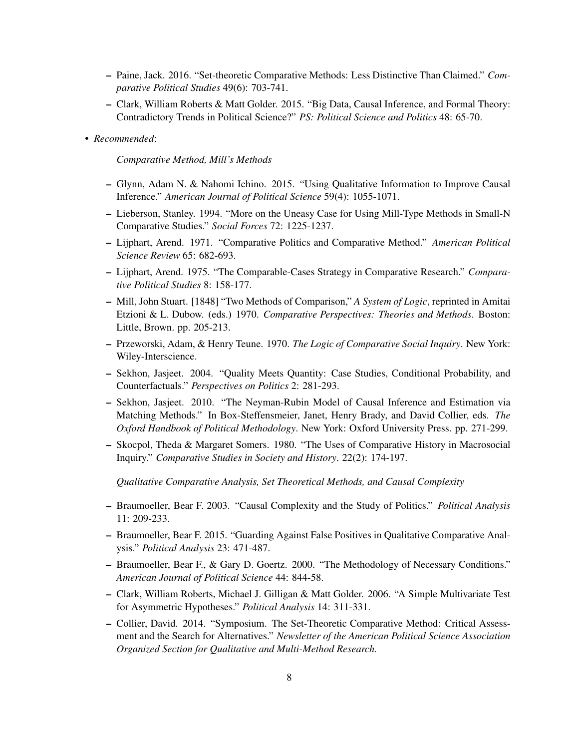- Paine, Jack. 2016. "Set-theoretic Comparative Methods: Less Distinctive Than Claimed." *Comparative Political Studies* 49(6): 703-741.
- Clark, William Roberts & Matt Golder. 2015. "Big Data, Causal Inference, and Formal Theory: Contradictory Trends in Political Science?" *PS: Political Science and Politics* 48: 65-70.
- *Recommended*:

*Comparative Method, Mill's Methods*

- Glynn, Adam N. & Nahomi Ichino. 2015. "Using Qualitative Information to Improve Causal Inference." *American Journal of Political Science* 59(4): 1055-1071.
- Lieberson, Stanley. 1994. "More on the Uneasy Case for Using Mill-Type Methods in Small-N Comparative Studies." *Social Forces* 72: 1225-1237.
- Lijphart, Arend. 1971. "Comparative Politics and Comparative Method." *American Political Science Review* 65: 682-693.
- Lijphart, Arend. 1975. "The Comparable-Cases Strategy in Comparative Research." *Comparative Political Studies* 8: 158-177.
- Mill, John Stuart. [1848] "Two Methods of Comparison," *A System of Logic*, reprinted in Amitai Etzioni & L. Dubow. (eds.) 1970. *Comparative Perspectives: Theories and Methods*. Boston: Little, Brown. pp. 205-213.
- Przeworski, Adam, & Henry Teune. 1970. *The Logic of Comparative Social Inquiry*. New York: Wiley-Interscience.
- Sekhon, Jasjeet. 2004. "Quality Meets Quantity: Case Studies, Conditional Probability, and Counterfactuals." *Perspectives on Politics* 2: 281-293.
- Sekhon, Jasjeet. 2010. "The Neyman-Rubin Model of Causal Inference and Estimation via Matching Methods." In Box-Steffensmeier, Janet, Henry Brady, and David Collier, eds. *The Oxford Handbook of Political Methodology*. New York: Oxford University Press. pp. 271-299.
- Skocpol, Theda & Margaret Somers. 1980. "The Uses of Comparative History in Macrosocial Inquiry." *Comparative Studies in Society and History*. 22(2): 174-197.

*Qualitative Comparative Analysis, Set Theoretical Methods, and Causal Complexity*

- Braumoeller, Bear F. 2003. "Causal Complexity and the Study of Politics." *Political Analysis* 11: 209-233.
- Braumoeller, Bear F. 2015. "Guarding Against False Positives in Qualitative Comparative Analysis." *Political Analysis* 23: 471-487.
- Braumoeller, Bear F., & Gary D. Goertz. 2000. "The Methodology of Necessary Conditions." *American Journal of Political Science* 44: 844-58.
- Clark, William Roberts, Michael J. Gilligan & Matt Golder. 2006. "A Simple Multivariate Test for Asymmetric Hypotheses." *Political Analysis* 14: 311-331.
- Collier, David. 2014. "Symposium. The Set-Theoretic Comparative Method: Critical Assessment and the Search for Alternatives." *Newsletter of the American Political Science Association Organized Section for Qualitative and Multi-Method Research.*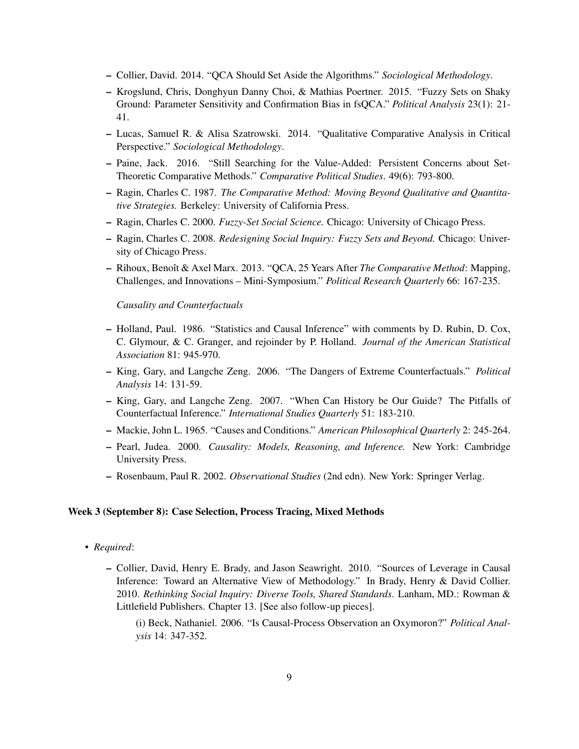- Collier, David. 2014. "QCA Should Set Aside the Algorithms." *Sociological Methodology*.
- Krogslund, Chris, Donghyun Danny Choi, & Mathias Poertner. 2015. "Fuzzy Sets on Shaky Ground: Parameter Sensitivity and Confirmation Bias in fsQCA." *Political Analysis* 23(1): 21- 41.
- Lucas, Samuel R. & Alisa Szatrowski. 2014. "Qualitative Comparative Analysis in Critical Perspective." *Sociological Methodology*.
- Paine, Jack. 2016. "Still Searching for the Value-Added: Persistent Concerns about Set-Theoretic Comparative Methods." *Comparative Political Studies*. 49(6): 793-800.
- Ragin, Charles C. 1987. *The Comparative Method: Moving Beyond Qualitative and Quantitative Strategies.* Berkeley: University of California Press.
- Ragin, Charles C. 2000. *Fuzzy-Set Social Science.* Chicago: University of Chicago Press.
- Ragin, Charles C. 2008. *Redesigning Social Inquiry: Fuzzy Sets and Beyond.* Chicago: University of Chicago Press.
- Rihoux, Benoît & Axel Marx. 2013. "QCA, 25 Years After *The Comparative Method*: Mapping, Challenges, and Innovations – Mini-Symposium." *Political Research Quarterly* 66: 167-235.

*Causality and Counterfactuals*

- Holland, Paul. 1986. "Statistics and Causal Inference" with comments by D. Rubin, D. Cox, C. Glymour, & C. Granger, and rejoinder by P. Holland. *Journal of the American Statistical Association* 81: 945-970.
- King, Gary, and Langche Zeng. 2006. "The Dangers of Extreme Counterfactuals." *Political Analysis* 14: 131-59.
- King, Gary, and Langche Zeng. 2007. "When Can History be Our Guide? The Pitfalls of Counterfactual Inference." *International Studies Quarterly* 51: 183-210.
- Mackie, John L. 1965. "Causes and Conditions." *American Philosophical Quarterly* 2: 245-264.
- Pearl, Judea. 2000. *Causality: Models, Reasoning, and Inference.* New York: Cambridge University Press.
- Rosenbaum, Paul R. 2002. *Observational Studies* (2nd edn). New York: Springer Verlag.

#### Week 3 (September 8): Case Selection, Process Tracing, Mixed Methods

- *Required*:
	- Collier, David, Henry E. Brady, and Jason Seawright. 2010. "Sources of Leverage in Causal Inference: Toward an Alternative View of Methodology." In Brady, Henry & David Collier. 2010. *Rethinking Social Inquiry: Diverse Tools, Shared Standards*. Lanham, MD.: Rowman & Littlefield Publishers. Chapter 13. [See also follow-up pieces].
		- (i) Beck, Nathaniel. 2006. "Is Causal-Process Observation an Oxymoron?" *Political Analysis* 14: 347-352.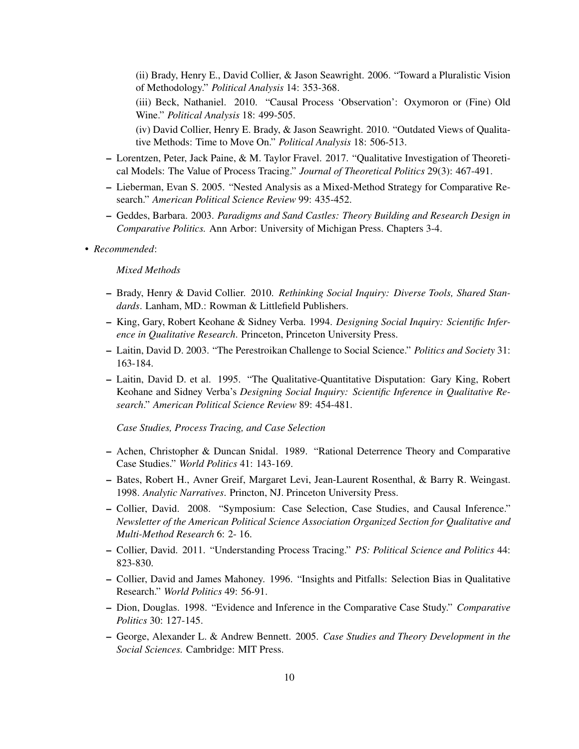(ii) Brady, Henry E., David Collier, & Jason Seawright. 2006. "Toward a Pluralistic Vision of Methodology." *Political Analysis* 14: 353-368.

(iii) Beck, Nathaniel. 2010. "Causal Process 'Observation': Oxymoron or (Fine) Old Wine." *Political Analysis* 18: 499-505.

(iv) David Collier, Henry E. Brady, & Jason Seawright. 2010. "Outdated Views of Qualitative Methods: Time to Move On." *Political Analysis* 18: 506-513.

- Lorentzen, Peter, Jack Paine, & M. Taylor Fravel. 2017. "Qualitative Investigation of Theoretical Models: The Value of Process Tracing." *Journal of Theoretical Politics* 29(3): 467-491.
- Lieberman, Evan S. 2005. "Nested Analysis as a Mixed-Method Strategy for Comparative Research." *American Political Science Review* 99: 435-452.
- Geddes, Barbara. 2003. *Paradigms and Sand Castles: Theory Building and Research Design in Comparative Politics.* Ann Arbor: University of Michigan Press. Chapters 3-4.
- *Recommended*:

#### *Mixed Methods*

- Brady, Henry & David Collier. 2010. *Rethinking Social Inquiry: Diverse Tools, Shared Standards*. Lanham, MD.: Rowman & Littlefield Publishers.
- King, Gary, Robert Keohane & Sidney Verba. 1994. *Designing Social Inquiry: Scientific Inference in Qualitative Research*. Princeton, Princeton University Press.
- Laitin, David D. 2003. "The Perestroikan Challenge to Social Science." *Politics and Society* 31: 163-184.
- Laitin, David D. et al. 1995. "The Qualitative-Quantitative Disputation: Gary King, Robert Keohane and Sidney Verba's *Designing Social Inquiry: Scientific Inference in Qualitative Research*." *American Political Science Review* 89: 454-481.

*Case Studies, Process Tracing, and Case Selection*

- Achen, Christopher & Duncan Snidal. 1989. "Rational Deterrence Theory and Comparative Case Studies." *World Politics* 41: 143-169.
- Bates, Robert H., Avner Greif, Margaret Levi, Jean-Laurent Rosenthal, & Barry R. Weingast. 1998. *Analytic Narratives*. Princton, NJ. Princeton University Press.
- Collier, David. 2008. "Symposium: Case Selection, Case Studies, and Causal Inference." *Newsletter of the American Political Science Association Organized Section for Qualitative and Multi-Method Research* 6: 2- 16.
- Collier, David. 2011. "Understanding Process Tracing." *PS: Political Science and Politics* 44: 823-830.
- Collier, David and James Mahoney. 1996. "Insights and Pitfalls: Selection Bias in Qualitative Research." *World Politics* 49: 56-91.
- Dion, Douglas. 1998. "Evidence and Inference in the Comparative Case Study." *Comparative Politics* 30: 127-145.
- George, Alexander L. & Andrew Bennett. 2005. *Case Studies and Theory Development in the Social Sciences.* Cambridge: MIT Press.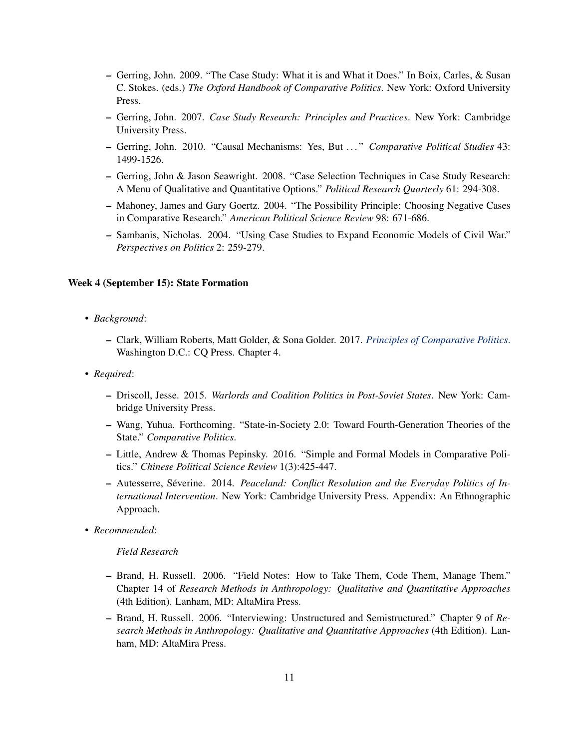- Gerring, John. 2009. "The Case Study: What it is and What it Does." In Boix, Carles, & Susan C. Stokes. (eds.) *The Oxford Handbook of Comparative Politics*. New York: Oxford University Press.
- Gerring, John. 2007. *Case Study Research: Principles and Practices*. New York: Cambridge University Press.
- Gerring, John. 2010. "Causal Mechanisms: Yes, But . . . " *Comparative Political Studies* 43: 1499-1526.
- Gerring, John & Jason Seawright. 2008. "Case Selection Techniques in Case Study Research: A Menu of Qualitative and Quantitative Options." *Political Research Quarterly* 61: 294-308.
- Mahoney, James and Gary Goertz. 2004. "The Possibility Principle: Choosing Negative Cases in Comparative Research." *American Political Science Review* 98: 671-686.
- Sambanis, Nicholas. 2004. "Using Case Studies to Expand Economic Models of Civil War." *Perspectives on Politics* 2: 259-279.

## Week 4 (September 15): State Formation

- *Background*:
	- Clark, William Roberts, Matt Golder, & Sona Golder. 2017. *[Principles of Comparative Politics](https://us.sagepub.com/en-us/nam/principles-of-comparative-politics/book243842)*. Washington D.C.: CQ Press. Chapter 4.
- *Required*:
	- Driscoll, Jesse. 2015. *Warlords and Coalition Politics in Post-Soviet States*. New York: Cambridge University Press.
	- Wang, Yuhua. Forthcoming. "State-in-Society 2.0: Toward Fourth-Generation Theories of the State." *Comparative Politics*.
	- Little, Andrew & Thomas Pepinsky. 2016. "Simple and Formal Models in Comparative Politics." *Chinese Political Science Review* 1(3):425-447.
	- Autesserre, Séverine. 2014. *Peaceland: Conflict Resolution and the Everyday Politics of International Intervention*. New York: Cambridge University Press. Appendix: An Ethnographic Approach.
- *Recommended*:

## *Field Research*

- Brand, H. Russell. 2006. "Field Notes: How to Take Them, Code Them, Manage Them." Chapter 14 of *Research Methods in Anthropology: Qualitative and Quantitative Approaches* (4th Edition). Lanham, MD: AltaMira Press.
- Brand, H. Russell. 2006. "Interviewing: Unstructured and Semistructured." Chapter 9 of *Research Methods in Anthropology: Qualitative and Quantitative Approaches* (4th Edition). Lanham, MD: AltaMira Press.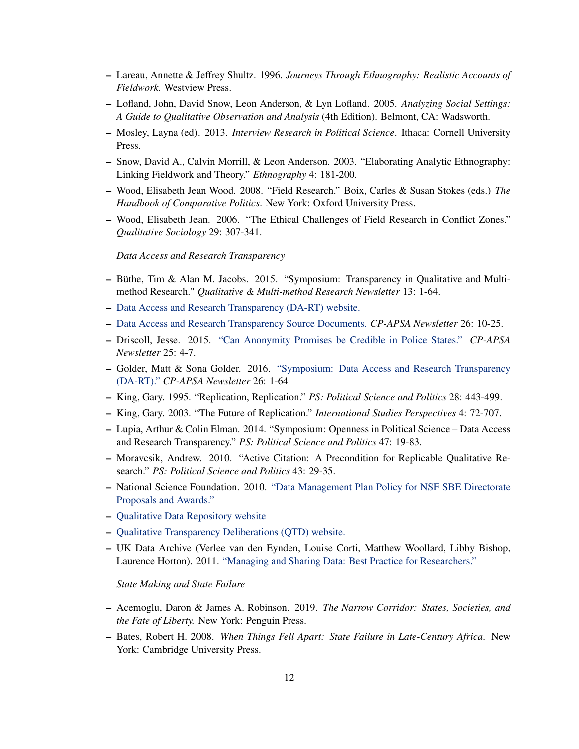- Lareau, Annette & Jeffrey Shultz. 1996. *Journeys Through Ethnography: Realistic Accounts of Fieldwork*. Westview Press.
- Lofland, John, David Snow, Leon Anderson, & Lyn Lofland. 2005. *Analyzing Social Settings: A Guide to Qualitative Observation and Analysis* (4th Edition). Belmont, CA: Wadsworth.
- Mosley, Layna (ed). 2013. *Interview Research in Political Science*. Ithaca: Cornell University Press.
- Snow, David A., Calvin Morrill, & Leon Anderson. 2003. "Elaborating Analytic Ethnography: Linking Fieldwork and Theory." *Ethnography* 4: 181-200.
- Wood, Elisabeth Jean Wood. 2008. "Field Research." Boix, Carles & Susan Stokes (eds.) *The Handbook of Comparative Politics*. New York: Oxford University Press.
- Wood, Elisabeth Jean. 2006. "The Ethical Challenges of Field Research in Conflict Zones." *Qualitative Sociology* 29: 307-341.

*Data Access and Research Transparency*

- Büthe, Tim & Alan M. Jacobs. 2015. "Symposium: Transparency in Qualitative and Multimethod Research." *Qualitative & Multi-method Research Newsletter* 13: 1-64.
- [Data Access and Research Transparency \(DA-RT\) website.](http://www.dartstatement.org/)
- [Data Access and Research Transparency Source Documents.](http://comparativenewsletter.com/files/archived_newsletters/newsletter_spring2016.pdf) *CP-APSA Newsletter* 26: 10-25.
- Driscoll, Jesse. 2015. ["Can Anonymity Promises be Credible in Police States."](http://charlescrabtree.com/archived_newsletters/newsletter_spring2015.pdf) *CP-APSA Newsletter* 25: 4-7.
- Golder, Matt & Sona Golder. 2016. ["Symposium: Data Access and Research Transparency](http://comparativenewsletter.com/files/archived_newsletters/newsletter_spring2016.pdf) [\(DA-RT\)."](http://comparativenewsletter.com/files/archived_newsletters/newsletter_spring2016.pdf) *CP-APSA Newsletter* 26: 1-64
- King, Gary. 1995. "Replication, Replication." *PS: Political Science and Politics* 28: 443-499.
- King, Gary. 2003. "The Future of Replication." *International Studies Perspectives* 4: 72-707.
- Lupia, Arthur & Colin Elman. 2014. "Symposium: Openness in Political Science Data Access and Research Transparency." *PS: Political Science and Politics* 47: 19-83.
- Moravcsik, Andrew. 2010. "Active Citation: A Precondition for Replicable Qualitative Research." *PS: Political Science and Politics* 43: 29-35.
- National Science Foundation. 2010. ["Data Management Plan Policy for NSF SBE Directorate](http://www.nsf.gov/sbe/SBE_DataMgmtPlanPolicy.pdf) [Proposals and Awards."](http://www.nsf.gov/sbe/SBE_DataMgmtPlanPolicy.pdf)
- [Qualitative Data Repository website](https://qdr.syr.edu/)
- [Qualitative Transparency Deliberations \(QTD\) website.](https://www.qualtd.net/)
- UK Data Archive (Verlee van den Eynden, Louise Corti, Matthew Woollard, Libby Bishop, Laurence Horton). 2011. ["Managing and Sharing Data: Best Practice for Researchers."](http://www.data-archive.ac.uk/media/2894/managingsharing.pdf)

*State Making and State Failure*

- Acemoglu, Daron & James A. Robinson. 2019. *The Narrow Corridor: States, Societies, and the Fate of Liberty.* New York: Penguin Press.
- Bates, Robert H. 2008. *When Things Fell Apart: State Failure in Late-Century Africa*. New York: Cambridge University Press.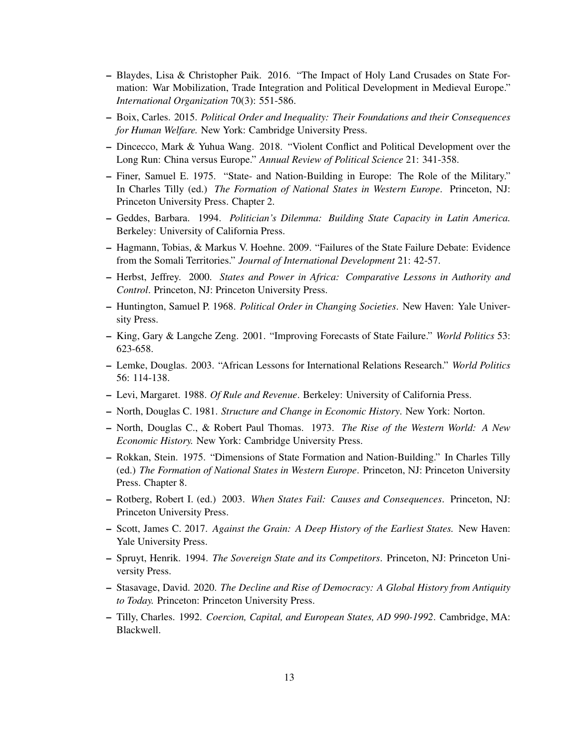- Blaydes, Lisa & Christopher Paik. 2016. "The Impact of Holy Land Crusades on State Formation: War Mobilization, Trade Integration and Political Development in Medieval Europe." *International Organization* 70(3): 551-586.
- Boix, Carles. 2015. *Political Order and Inequality: Their Foundations and their Consequences for Human Welfare.* New York: Cambridge University Press.
- Dincecco, Mark & Yuhua Wang. 2018. "Violent Conflict and Political Development over the Long Run: China versus Europe." *Annual Review of Political Science* 21: 341-358.
- Finer, Samuel E. 1975. "State- and Nation-Building in Europe: The Role of the Military." In Charles Tilly (ed.) *The Formation of National States in Western Europe*. Princeton, NJ: Princeton University Press. Chapter 2.
- Geddes, Barbara. 1994. *Politician's Dilemma: Building State Capacity in Latin America.* Berkeley: University of California Press.
- Hagmann, Tobias, & Markus V. Hoehne. 2009. "Failures of the State Failure Debate: Evidence from the Somali Territories." *Journal of International Development* 21: 42-57.
- Herbst, Jeffrey. 2000. *States and Power in Africa: Comparative Lessons in Authority and Control*. Princeton, NJ: Princeton University Press.
- Huntington, Samuel P. 1968. *Political Order in Changing Societies*. New Haven: Yale University Press.
- King, Gary & Langche Zeng. 2001. "Improving Forecasts of State Failure." *World Politics* 53: 623-658.
- Lemke, Douglas. 2003. "African Lessons for International Relations Research." *World Politics* 56: 114-138.
- Levi, Margaret. 1988. *Of Rule and Revenue*. Berkeley: University of California Press.
- North, Douglas C. 1981. *Structure and Change in Economic History*. New York: Norton.
- North, Douglas C., & Robert Paul Thomas. 1973. *The Rise of the Western World: A New Economic History.* New York: Cambridge University Press.
- Rokkan, Stein. 1975. "Dimensions of State Formation and Nation-Building." In Charles Tilly (ed.) *The Formation of National States in Western Europe*. Princeton, NJ: Princeton University Press. Chapter 8.
- Rotberg, Robert I. (ed.) 2003. *When States Fail: Causes and Consequences*. Princeton, NJ: Princeton University Press.
- Scott, James C. 2017. *Against the Grain: A Deep History of the Earliest States.* New Haven: Yale University Press.
- Spruyt, Henrik. 1994. *The Sovereign State and its Competitors*. Princeton, NJ: Princeton University Press.
- Stasavage, David. 2020. *The Decline and Rise of Democracy: A Global History from Antiquity to Today.* Princeton: Princeton University Press.
- Tilly, Charles. 1992. *Coercion, Capital, and European States, AD 990-1992*. Cambridge, MA: Blackwell.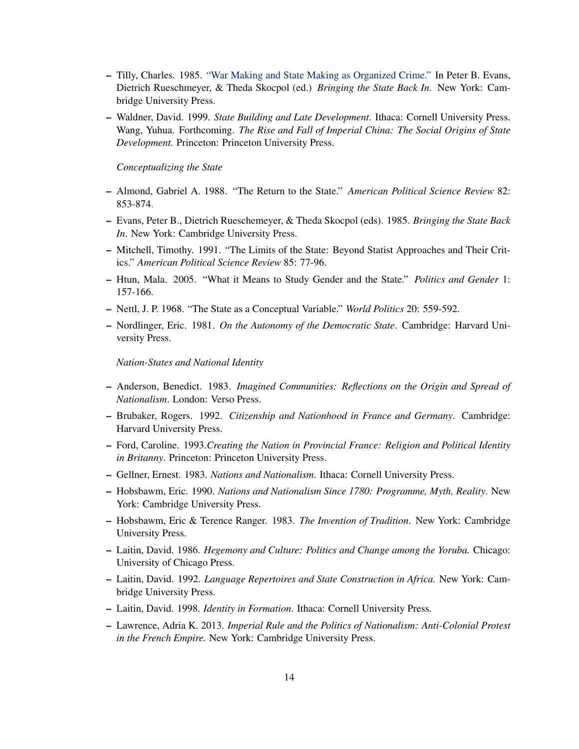- Tilly, Charles. 1985. ["War Making and State Making as Organized Crime."](http://static.ow.ly/docs/0 Tilly 85_5Xr.pdf) In Peter B. Evans, Dietrich Rueschmeyer, & Theda Skocpol (ed.) *Bringing the State Back In*. New York: Cambridge University Press.
- Waldner, David. 1999. *State Building and Late Development*. Ithaca: Cornell University Press. Wang, Yuhua. Forthcoming. *The Rise and Fall of Imperial China: The Social Origins of State Development.* Princeton: Princeton University Press.

*Conceptualizing the State*

- Almond, Gabriel A. 1988. "The Return to the State." *American Political Science Review* 82: 853-874.
- Evans, Peter B., Dietrich Rueschemeyer, & Theda Skocpol (eds). 1985. *Bringing the State Back In*. New York: Cambridge University Press.
- Mitchell, Timothy. 1991. "The Limits of the State: Beyond Statist Approaches and Their Critics." *American Political Science Review* 85: 77-96.
- Htun, Mala. 2005. "What it Means to Study Gender and the State." *Politics and Gender* 1: 157-166.
- Nettl, J. P. 1968. "The State as a Conceptual Variable." *World Politics* 20: 559-592.
- Nordlinger, Eric. 1981. *On the Autonomy of the Democratic State*. Cambridge: Harvard University Press.

*Nation-States and National Identity*

- Anderson, Benedict. 1983. *Imagined Communities: Reflections on the Origin and Spread of Nationalism*. London: Verso Press.
- Brubaker, Rogers. 1992. *Citizenship and Nationhood in France and Germany*. Cambridge: Harvard University Press.
- Ford, Caroline. 1993.*Creating the Nation in Provincial France: Religion and Political Identity in Britanny*. Princeton: Princeton University Press.
- Gellner, Ernest. 1983. *Nations and Nationalism*. Ithaca: Cornell University Press.
- Hobsbawm, Eric. 1990. *Nations and Nationalism Since 1780: Programme, Myth, Reality*. New York: Cambridge University Press.
- Hobsbawm, Eric & Terence Ranger. 1983. *The Invention of Tradition*. New York: Cambridge University Press.
- Laitin, David. 1986. *Hegemony and Culture: Politics and Change among the Yoruba.* Chicago: University of Chicago Press.
- Laitin, David. 1992. *Language Repertoires and State Construction in Africa.* New York: Cambridge University Press.
- Laitin, David. 1998. *Identity in Formation*. Ithaca: Cornell University Press.
- Lawrence, Adria K. 2013. *Imperial Rule and the Politics of Nationalism: Anti-Colonial Protest in the French Empire.* New York: Cambridge University Press.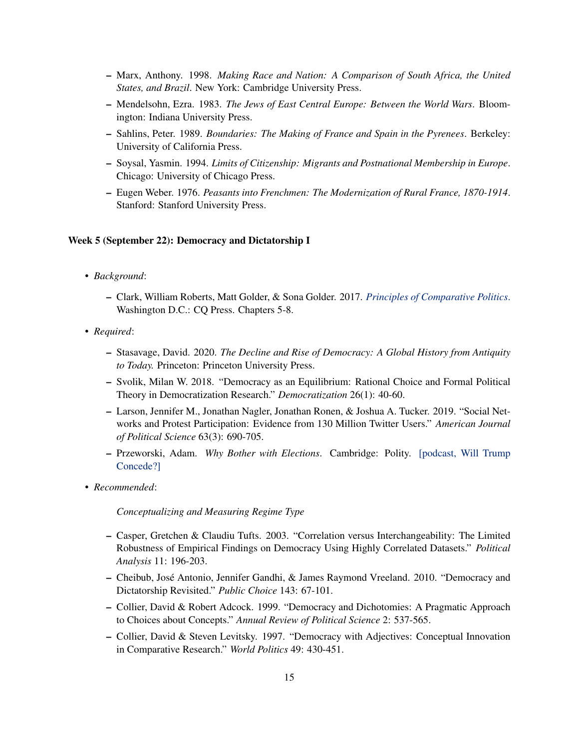- Marx, Anthony. 1998. *Making Race and Nation: A Comparison of South Africa, the United States, and Brazil*. New York: Cambridge University Press.
- Mendelsohn, Ezra. 1983. *The Jews of East Central Europe: Between the World Wars*. Bloomington: Indiana University Press.
- Sahlins, Peter. 1989. *Boundaries: The Making of France and Spain in the Pyrenees*. Berkeley: University of California Press.
- Soysal, Yasmin. 1994. *Limits of Citizenship: Migrants and Postnational Membership in Europe*. Chicago: University of Chicago Press.
- Eugen Weber. 1976. *Peasants into Frenchmen: The Modernization of Rural France, 1870-1914*. Stanford: Stanford University Press.

#### Week 5 (September 22): Democracy and Dictatorship I

- *Background*:
	- Clark, William Roberts, Matt Golder, & Sona Golder. 2017. *[Principles of Comparative Politics](https://us.sagepub.com/en-us/nam/principles-of-comparative-politics/book243842)*. Washington D.C.: CQ Press. Chapters 5-8.
- *Required*:
	- Stasavage, David. 2020. *The Decline and Rise of Democracy: A Global History from Antiquity to Today.* Princeton: Princeton University Press.
	- Svolik, Milan W. 2018. "Democracy as an Equilibrium: Rational Choice and Formal Political Theory in Democratization Research." *Democratization* 26(1): 40-60.
	- Larson, Jennifer M., Jonathan Nagler, Jonathan Ronen, & Joshua A. Tucker. 2019. "Social Networks and Protest Participation: Evidence from 130 Million Twitter Users." *American Journal of Political Science* 63(3): 690-705.
	- Przeworski, Adam. *Why Bother with Elections*. Cambridge: Polity. [\[podcast, Will Trump](https://podcasts.apple.com/us/podcast/will-trump-concede/id1460055316?i=1000493869657) [Concede?\]](https://podcasts.apple.com/us/podcast/will-trump-concede/id1460055316?i=1000493869657)
- *Recommended*:

*Conceptualizing and Measuring Regime Type*

- Casper, Gretchen & Claudiu Tufts. 2003. "Correlation versus Interchangeability: The Limited Robustness of Empirical Findings on Democracy Using Highly Correlated Datasets." *Political Analysis* 11: 196-203.
- Cheibub, José Antonio, Jennifer Gandhi, & James Raymond Vreeland. 2010. "Democracy and Dictatorship Revisited." *Public Choice* 143: 67-101.
- Collier, David & Robert Adcock. 1999. "Democracy and Dichotomies: A Pragmatic Approach to Choices about Concepts." *Annual Review of Political Science* 2: 537-565.
- Collier, David & Steven Levitsky. 1997. "Democracy with Adjectives: Conceptual Innovation in Comparative Research." *World Politics* 49: 430-451.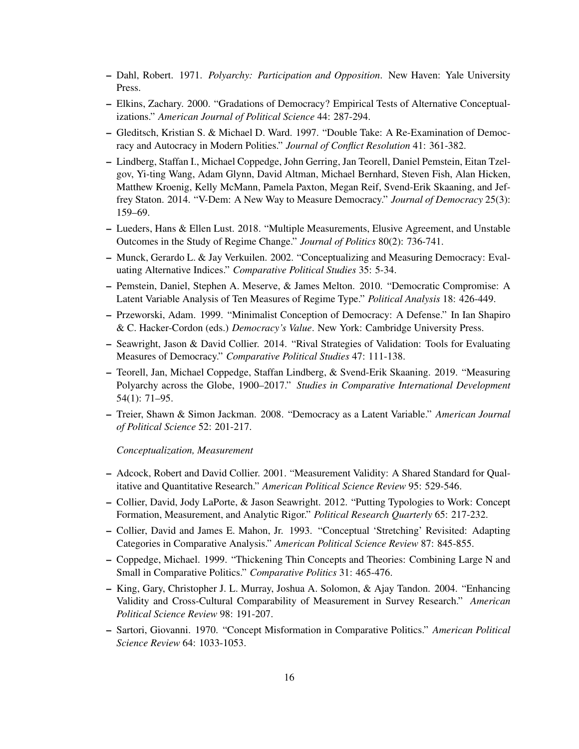- Dahl, Robert. 1971. *Polyarchy: Participation and Opposition*. New Haven: Yale University Press.
- Elkins, Zachary. 2000. "Gradations of Democracy? Empirical Tests of Alternative Conceptualizations." *American Journal of Political Science* 44: 287-294.
- Gleditsch, Kristian S. & Michael D. Ward. 1997. "Double Take: A Re-Examination of Democracy and Autocracy in Modern Polities." *Journal of Conflict Resolution* 41: 361-382.
- Lindberg, Staffan I., Michael Coppedge, John Gerring, Jan Teorell, Daniel Pemstein, Eitan Tzelgov, Yi-ting Wang, Adam Glynn, David Altman, Michael Bernhard, Steven Fish, Alan Hicken, Matthew Kroenig, Kelly McMann, Pamela Paxton, Megan Reif, Svend-Erik Skaaning, and Jeffrey Staton. 2014. "V-Dem: A New Way to Measure Democracy." *Journal of Democracy* 25(3): 159–69.
- Lueders, Hans & Ellen Lust. 2018. "Multiple Measurements, Elusive Agreement, and Unstable Outcomes in the Study of Regime Change." *Journal of Politics* 80(2): 736-741.
- Munck, Gerardo L. & Jay Verkuilen. 2002. "Conceptualizing and Measuring Democracy: Evaluating Alternative Indices." *Comparative Political Studies* 35: 5-34.
- Pemstein, Daniel, Stephen A. Meserve, & James Melton. 2010. "Democratic Compromise: A Latent Variable Analysis of Ten Measures of Regime Type." *Political Analysis* 18: 426-449.
- Przeworski, Adam. 1999. "Minimalist Conception of Democracy: A Defense." In Ian Shapiro & C. Hacker-Cordon (eds.) *Democracy's Value*. New York: Cambridge University Press.
- Seawright, Jason & David Collier. 2014. "Rival Strategies of Validation: Tools for Evaluating Measures of Democracy." *Comparative Political Studies* 47: 111-138.
- Teorell, Jan, Michael Coppedge, Staffan Lindberg, & Svend-Erik Skaaning. 2019. "Measuring Polyarchy across the Globe, 1900–2017." *Studies in Comparative International Development* 54(1): 71–95.
- Treier, Shawn & Simon Jackman. 2008. "Democracy as a Latent Variable." *American Journal of Political Science* 52: 201-217.

*Conceptualization, Measurement*

- Adcock, Robert and David Collier. 2001. "Measurement Validity: A Shared Standard for Qualitative and Quantitative Research." *American Political Science Review* 95: 529-546.
- Collier, David, Jody LaPorte, & Jason Seawright. 2012. "Putting Typologies to Work: Concept Formation, Measurement, and Analytic Rigor." *Political Research Quarterly* 65: 217-232.
- Collier, David and James E. Mahon, Jr. 1993. "Conceptual 'Stretching' Revisited: Adapting Categories in Comparative Analysis." *American Political Science Review* 87: 845-855.
- Coppedge, Michael. 1999. "Thickening Thin Concepts and Theories: Combining Large N and Small in Comparative Politics." *Comparative Politics* 31: 465-476.
- King, Gary, Christopher J. L. Murray, Joshua A. Solomon, & Ajay Tandon. 2004. "Enhancing Validity and Cross-Cultural Comparability of Measurement in Survey Research." *American Political Science Review* 98: 191-207.
- Sartori, Giovanni. 1970. "Concept Misformation in Comparative Politics." *American Political Science Review* 64: 1033-1053.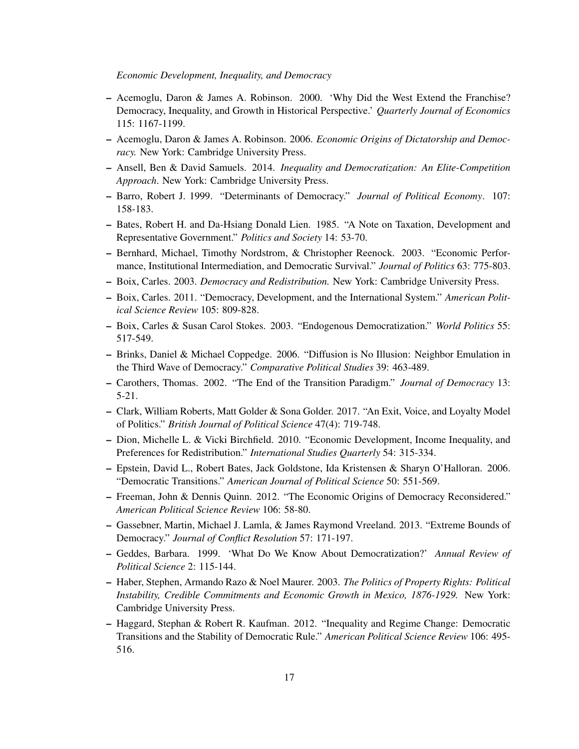#### *Economic Development, Inequality, and Democracy*

- Acemoglu, Daron & James A. Robinson. 2000. 'Why Did the West Extend the Franchise? Democracy, Inequality, and Growth in Historical Perspective.' *Quarterly Journal of Economics* 115: 1167-1199.
- Acemoglu, Daron & James A. Robinson. 2006. *Economic Origins of Dictatorship and Democracy.* New York: Cambridge University Press.
- Ansell, Ben & David Samuels. 2014. *Inequality and Democratization: An Elite-Competition Approach*. New York: Cambridge University Press.
- Barro, Robert J. 1999. "Determinants of Democracy." *Journal of Political Economy*. 107: 158-183.
- Bates, Robert H. and Da-Hsiang Donald Lien. 1985. "A Note on Taxation, Development and Representative Government." *Politics and Society* 14: 53-70.
- Bernhard, Michael, Timothy Nordstrom, & Christopher Reenock. 2003. "Economic Performance, Institutional Intermediation, and Democratic Survival." *Journal of Politics* 63: 775-803.
- Boix, Carles. 2003. *Democracy and Redistribution.* New York: Cambridge University Press.
- Boix, Carles. 2011. "Democracy, Development, and the International System." *American Political Science Review* 105: 809-828.
- Boix, Carles & Susan Carol Stokes. 2003. "Endogenous Democratization." *World Politics* 55: 517-549.
- Brinks, Daniel & Michael Coppedge. 2006. "Diffusion is No Illusion: Neighbor Emulation in the Third Wave of Democracy." *Comparative Political Studies* 39: 463-489.
- Carothers, Thomas. 2002. "The End of the Transition Paradigm." *Journal of Democracy* 13: 5-21.
- Clark, William Roberts, Matt Golder & Sona Golder. 2017. "An Exit, Voice, and Loyalty Model of Politics." *British Journal of Political Science* 47(4): 719-748.
- Dion, Michelle L. & Vicki Birchfield. 2010. "Economic Development, Income Inequality, and Preferences for Redistribution." *International Studies Quarterly* 54: 315-334.
- Epstein, David L., Robert Bates, Jack Goldstone, Ida Kristensen & Sharyn O'Halloran. 2006. "Democratic Transitions." *American Journal of Political Science* 50: 551-569.
- Freeman, John & Dennis Quinn. 2012. "The Economic Origins of Democracy Reconsidered." *American Political Science Review* 106: 58-80.
- Gassebner, Martin, Michael J. Lamla, & James Raymond Vreeland. 2013. "Extreme Bounds of Democracy." *Journal of Conflict Resolution* 57: 171-197.
- Geddes, Barbara. 1999. 'What Do We Know About Democratization?' *Annual Review of Political Science* 2: 115-144.
- Haber, Stephen, Armando Razo & Noel Maurer. 2003. *The Politics of Property Rights: Political Instability, Credible Commitments and Economic Growth in Mexico, 1876-1929.* New York: Cambridge University Press.
- Haggard, Stephan & Robert R. Kaufman. 2012. "Inequality and Regime Change: Democratic Transitions and the Stability of Democratic Rule." *American Political Science Review* 106: 495- 516.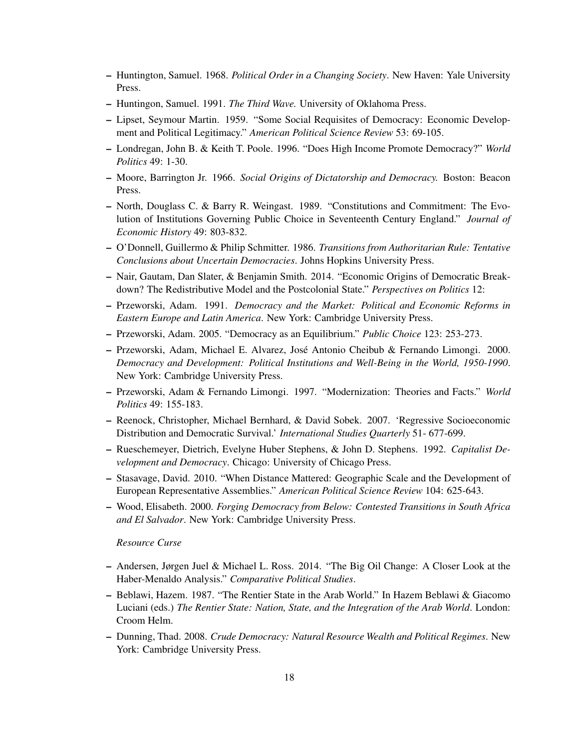- Huntington, Samuel. 1968. *Political Order in a Changing Society*. New Haven: Yale University Press.
- Huntingon, Samuel. 1991. *The Third Wave.* University of Oklahoma Press.
- Lipset, Seymour Martin. 1959. "Some Social Requisites of Democracy: Economic Development and Political Legitimacy." *American Political Science Review* 53: 69-105.
- Londregan, John B. & Keith T. Poole. 1996. "Does High Income Promote Democracy?" *World Politics* 49: 1-30.
- Moore, Barrington Jr. 1966. *Social Origins of Dictatorship and Democracy.* Boston: Beacon Press.
- North, Douglass C. & Barry R. Weingast. 1989. "Constitutions and Commitment: The Evolution of Institutions Governing Public Choice in Seventeenth Century England." *Journal of Economic History* 49: 803-832.
- O'Donnell, Guillermo & Philip Schmitter. 1986. *Transitions from Authoritarian Rule: Tentative Conclusions about Uncertain Democracies*. Johns Hopkins University Press.
- Nair, Gautam, Dan Slater, & Benjamin Smith. 2014. "Economic Origins of Democratic Breakdown? The Redistributive Model and the Postcolonial State." *Perspectives on Politics* 12:
- Przeworski, Adam. 1991. *Democracy and the Market: Political and Economic Reforms in Eastern Europe and Latin America*. New York: Cambridge University Press.
- Przeworski, Adam. 2005. "Democracy as an Equilibrium." *Public Choice* 123: 253-273.
- Przeworski, Adam, Michael E. Alvarez, José Antonio Cheibub & Fernando Limongi. 2000. *Democracy and Development: Political Institutions and Well-Being in the World, 1950-1990*. New York: Cambridge University Press.
- Przeworski, Adam & Fernando Limongi. 1997. "Modernization: Theories and Facts." *World Politics* 49: 155-183.
- Reenock, Christopher, Michael Bernhard, & David Sobek. 2007. 'Regressive Socioeconomic Distribution and Democratic Survival.' *International Studies Quarterly* 51- 677-699.
- Rueschemeyer, Dietrich, Evelyne Huber Stephens, & John D. Stephens. 1992. *Capitalist Development and Democracy*. Chicago: University of Chicago Press.
- Stasavage, David. 2010. "When Distance Mattered: Geographic Scale and the Development of European Representative Assemblies." *American Political Science Review* 104: 625-643.
- Wood, Elisabeth. 2000. *Forging Democracy from Below: Contested Transitions in South Africa and El Salvador*. New York: Cambridge University Press.

## *Resource Curse*

- Andersen, Jørgen Juel & Michael L. Ross. 2014. "The Big Oil Change: A Closer Look at the Haber-Menaldo Analysis." *Comparative Political Studies*.
- Beblawi, Hazem. 1987. "The Rentier State in the Arab World." In Hazem Beblawi & Giacomo Luciani (eds.) *The Rentier State: Nation, State, and the Integration of the Arab World*. London: Croom Helm.
- Dunning, Thad. 2008. *Crude Democracy: Natural Resource Wealth and Political Regimes*. New York: Cambridge University Press.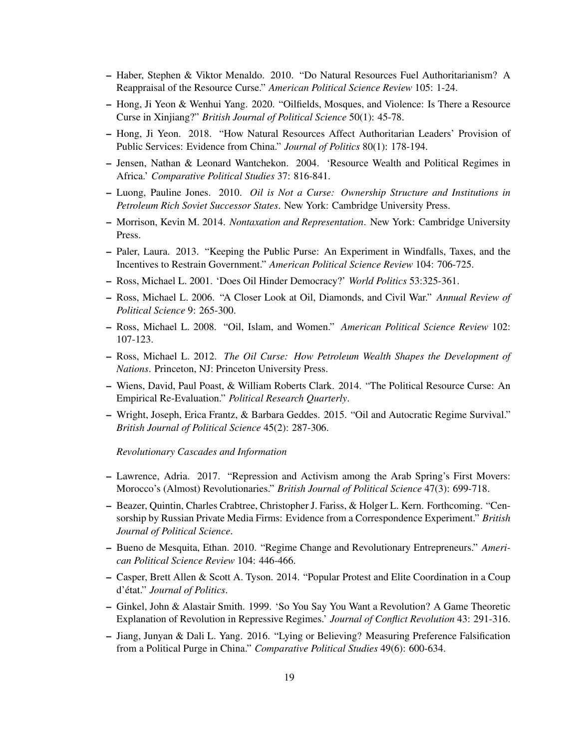- Haber, Stephen & Viktor Menaldo. 2010. "Do Natural Resources Fuel Authoritarianism? A Reappraisal of the Resource Curse." *American Political Science Review* 105: 1-24.
- Hong, Ji Yeon & Wenhui Yang. 2020. "Oilfields, Mosques, and Violence: Is There a Resource Curse in Xinjiang?" *British Journal of Political Science* 50(1): 45-78.
- Hong, Ji Yeon. 2018. "How Natural Resources Affect Authoritarian Leaders' Provision of Public Services: Evidence from China." *Journal of Politics* 80(1): 178-194.
- Jensen, Nathan & Leonard Wantchekon. 2004. 'Resource Wealth and Political Regimes in Africa.' *Comparative Political Studies* 37: 816-841.
- Luong, Pauline Jones. 2010. *Oil is Not a Curse: Ownership Structure and Institutions in Petroleum Rich Soviet Successor States*. New York: Cambridge University Press.
- Morrison, Kevin M. 2014. *Nontaxation and Representation*. New York: Cambridge University Press.
- Paler, Laura. 2013. "Keeping the Public Purse: An Experiment in Windfalls, Taxes, and the Incentives to Restrain Government." *American Political Science Review* 104: 706-725.
- Ross, Michael L. 2001. 'Does Oil Hinder Democracy?' *World Politics* 53:325-361.
- Ross, Michael L. 2006. "A Closer Look at Oil, Diamonds, and Civil War." *Annual Review of Political Science* 9: 265-300.
- Ross, Michael L. 2008. "Oil, Islam, and Women." *American Political Science Review* 102: 107-123.
- Ross, Michael L. 2012. *The Oil Curse: How Petroleum Wealth Shapes the Development of Nations*. Princeton, NJ: Princeton University Press.
- Wiens, David, Paul Poast, & William Roberts Clark. 2014. "The Political Resource Curse: An Empirical Re-Evaluation." *Political Research Quarterly*.
- Wright, Joseph, Erica Frantz, & Barbara Geddes. 2015. "Oil and Autocratic Regime Survival." *British Journal of Political Science* 45(2): 287-306.

*Revolutionary Cascades and Information*

- Lawrence, Adria. 2017. "Repression and Activism among the Arab Spring's First Movers: Morocco's (Almost) Revolutionaries." *British Journal of Political Science* 47(3): 699-718.
- Beazer, Quintin, Charles Crabtree, Christopher J. Fariss, & Holger L. Kern. Forthcoming. "Censorship by Russian Private Media Firms: Evidence from a Correspondence Experiment." *British Journal of Political Science*.
- Bueno de Mesquita, Ethan. 2010. "Regime Change and Revolutionary Entrepreneurs." *American Political Science Review* 104: 446-466.
- Casper, Brett Allen & Scott A. Tyson. 2014. "Popular Protest and Elite Coordination in a Coup d'état." *Journal of Politics*.
- Ginkel, John & Alastair Smith. 1999. 'So You Say You Want a Revolution? A Game Theoretic Explanation of Revolution in Repressive Regimes.' *Journal of Conflict Revolution* 43: 291-316.
- Jiang, Junyan & Dali L. Yang. 2016. "Lying or Believing? Measuring Preference Falsification from a Political Purge in China." *Comparative Political Studies* 49(6): 600-634.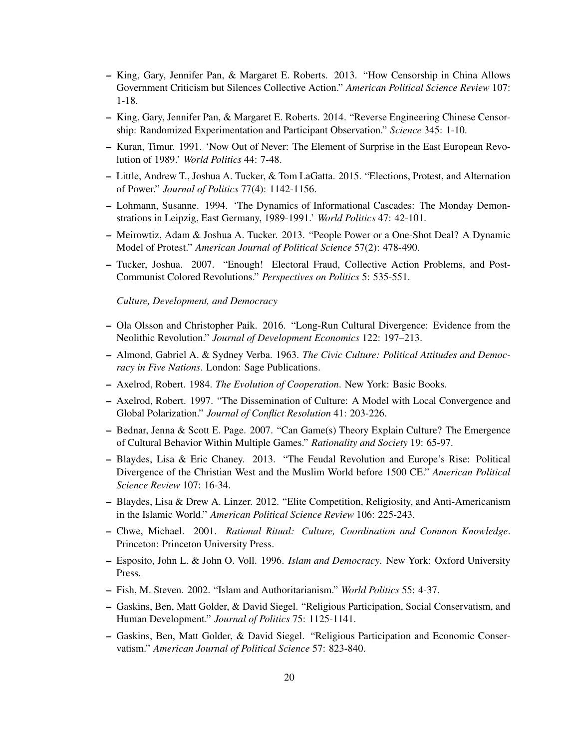- King, Gary, Jennifer Pan, & Margaret E. Roberts. 2013. "How Censorship in China Allows Government Criticism but Silences Collective Action." *American Political Science Review* 107: 1-18.
- King, Gary, Jennifer Pan, & Margaret E. Roberts. 2014. "Reverse Engineering Chinese Censorship: Randomized Experimentation and Participant Observation." *Science* 345: 1-10.
- Kuran, Timur. 1991. 'Now Out of Never: The Element of Surprise in the East European Revolution of 1989.' *World Politics* 44: 7-48.
- Little, Andrew T., Joshua A. Tucker, & Tom LaGatta. 2015. "Elections, Protest, and Alternation of Power." *Journal of Politics* 77(4): 1142-1156.
- Lohmann, Susanne. 1994. 'The Dynamics of Informational Cascades: The Monday Demonstrations in Leipzig, East Germany, 1989-1991.' *World Politics* 47: 42-101.
- Meirowtiz, Adam & Joshua A. Tucker. 2013. "People Power or a One-Shot Deal? A Dynamic Model of Protest." *American Journal of Political Science* 57(2): 478-490.
- Tucker, Joshua. 2007. "Enough! Electoral Fraud, Collective Action Problems, and Post-Communist Colored Revolutions." *Perspectives on Politics* 5: 535-551.

*Culture, Development, and Democracy*

- Ola Olsson and Christopher Paik. 2016. "Long-Run Cultural Divergence: Evidence from the Neolithic Revolution." *Journal of Development Economics* 122: 197–213.
- Almond, Gabriel A. & Sydney Verba. 1963. *The Civic Culture: Political Attitudes and Democracy in Five Nations*. London: Sage Publications.
- Axelrod, Robert. 1984. *The Evolution of Cooperation*. New York: Basic Books.
- Axelrod, Robert. 1997. "The Dissemination of Culture: A Model with Local Convergence and Global Polarization." *Journal of Conflict Resolution* 41: 203-226.
- Bednar, Jenna & Scott E. Page. 2007. "Can Game(s) Theory Explain Culture? The Emergence of Cultural Behavior Within Multiple Games." *Rationality and Society* 19: 65-97.
- Blaydes, Lisa & Eric Chaney. 2013. "The Feudal Revolution and Europe's Rise: Political Divergence of the Christian West and the Muslim World before 1500 CE." *American Political Science Review* 107: 16-34.
- Blaydes, Lisa & Drew A. Linzer. 2012. "Elite Competition, Religiosity, and Anti-Americanism in the Islamic World." *American Political Science Review* 106: 225-243.
- Chwe, Michael. 2001. *Rational Ritual: Culture, Coordination and Common Knowledge*. Princeton: Princeton University Press.
- Esposito, John L. & John O. Voll. 1996. *Islam and Democracy*. New York: Oxford University Press.
- Fish, M. Steven. 2002. "Islam and Authoritarianism." *World Politics* 55: 4-37.
- Gaskins, Ben, Matt Golder, & David Siegel. "Religious Participation, Social Conservatism, and Human Development." *Journal of Politics* 75: 1125-1141.
- Gaskins, Ben, Matt Golder, & David Siegel. "Religious Participation and Economic Conservatism." *American Journal of Political Science* 57: 823-840.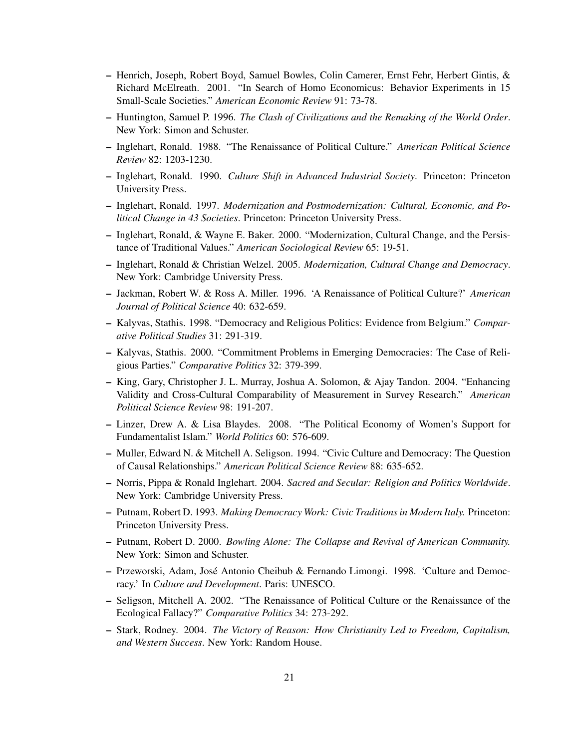- Henrich, Joseph, Robert Boyd, Samuel Bowles, Colin Camerer, Ernst Fehr, Herbert Gintis, & Richard McElreath. 2001. "In Search of Homo Economicus: Behavior Experiments in 15 Small-Scale Societies." *American Economic Review* 91: 73-78.
- Huntington, Samuel P. 1996. *The Clash of Civilizations and the Remaking of the World Order*. New York: Simon and Schuster.
- Inglehart, Ronald. 1988. "The Renaissance of Political Culture." *American Political Science Review* 82: 1203-1230.
- Inglehart, Ronald. 1990. *Culture Shift in Advanced Industrial Society*. Princeton: Princeton University Press.
- Inglehart, Ronald. 1997. *Modernization and Postmodernization: Cultural, Economic, and Political Change in 43 Societies*. Princeton: Princeton University Press.
- Inglehart, Ronald, & Wayne E. Baker. 2000. "Modernization, Cultural Change, and the Persistance of Traditional Values." *American Sociological Review* 65: 19-51.
- Inglehart, Ronald & Christian Welzel. 2005. *Modernization, Cultural Change and Democracy*. New York: Cambridge University Press.
- Jackman, Robert W. & Ross A. Miller. 1996. 'A Renaissance of Political Culture?' *American Journal of Political Science* 40: 632-659.
- Kalyvas, Stathis. 1998. "Democracy and Religious Politics: Evidence from Belgium." *Comparative Political Studies* 31: 291-319.
- Kalyvas, Stathis. 2000. "Commitment Problems in Emerging Democracies: The Case of Religious Parties." *Comparative Politics* 32: 379-399.
- King, Gary, Christopher J. L. Murray, Joshua A. Solomon, & Ajay Tandon. 2004. "Enhancing Validity and Cross-Cultural Comparability of Measurement in Survey Research." *American Political Science Review* 98: 191-207.
- Linzer, Drew A. & Lisa Blaydes. 2008. "The Political Economy of Women's Support for Fundamentalist Islam." *World Politics* 60: 576-609.
- Muller, Edward N. & Mitchell A. Seligson. 1994. "Civic Culture and Democracy: The Question of Causal Relationships." *American Political Science Review* 88: 635-652.
- Norris, Pippa & Ronald Inglehart. 2004. *Sacred and Secular: Religion and Politics Worldwide*. New York: Cambridge University Press.
- Putnam, Robert D. 1993. *Making Democracy Work: Civic Traditions in Modern Italy.* Princeton: Princeton University Press.
- Putnam, Robert D. 2000. *Bowling Alone: The Collapse and Revival of American Community.* New York: Simon and Schuster.
- Przeworski, Adam, José Antonio Cheibub & Fernando Limongi. 1998. 'Culture and Democracy.' In *Culture and Development*. Paris: UNESCO.
- Seligson, Mitchell A. 2002. "The Renaissance of Political Culture or the Renaissance of the Ecological Fallacy?" *Comparative Politics* 34: 273-292.
- Stark, Rodney. 2004. *The Victory of Reason: How Christianity Led to Freedom, Capitalism, and Western Success*. New York: Random House.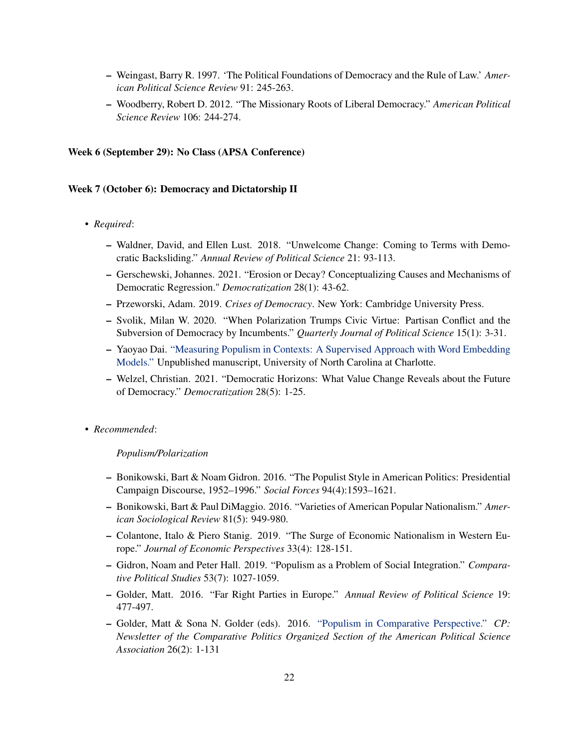- Weingast, Barry R. 1997. 'The Political Foundations of Democracy and the Rule of Law.' *American Political Science Review* 91: 245-263.
- Woodberry, Robert D. 2012. "The Missionary Roots of Liberal Democracy." *American Political Science Review* 106: 244-274.

#### Week 6 (September 29): No Class (APSA Conference)

#### Week 7 (October 6): Democracy and Dictatorship II

- *Required*:
	- Waldner, David, and Ellen Lust. 2018. "Unwelcome Change: Coming to Terms with Democratic Backsliding." *Annual Review of Political Science* 21: 93-113.
	- Gerschewski, Johannes. 2021. "Erosion or Decay? Conceptualizing Causes and Mechanisms of Democratic Regression." *Democratization* 28(1): 43-62.
	- Przeworski, Adam. 2019. *Crises of Democracy*. New York: Cambridge University Press.
	- Svolik, Milan W. 2020. "When Polarization Trumps Civic Virtue: Partisan Conflict and the Subversion of Democracy by Incumbents." *Quarterly Journal of Political Science* 15(1): 3-31.
	- Yaoyao Dai. ["Measuring Populism in Contexts: A Supervised Approach with Word Embedding](https://yaoyaodai.github.io/files/Dai_Populism.pdf) [Models."](https://yaoyaodai.github.io/files/Dai_Populism.pdf) Unpublished manuscript, University of North Carolina at Charlotte.
	- Welzel, Christian. 2021. "Democratic Horizons: What Value Change Reveals about the Future of Democracy." *Democratization* 28(5): 1-25.
- *Recommended*:

#### *Populism/Polarization*

- Bonikowski, Bart & Noam Gidron. 2016. "The Populist Style in American Politics: Presidential Campaign Discourse, 1952–1996." *Social Forces* 94(4):1593–1621.
- Bonikowski, Bart & Paul DiMaggio. 2016. "Varieties of American Popular Nationalism." *American Sociological Review* 81(5): 949-980.
- Colantone, Italo & Piero Stanig. 2019. "The Surge of Economic Nationalism in Western Europe." *Journal of Economic Perspectives* 33(4): 128-151.
- Gidron, Noam and Peter Hall. 2019. "Populism as a Problem of Social Integration." *Comparative Political Studies* 53(7): 1027-1059.
- Golder, Matt. 2016. "Far Right Parties in Europe." *Annual Review of Political Science* 19: 477-497.
- Golder, Matt & Sona N. Golder (eds). 2016. ["Populism in Comparative Perspective."](http://mattgolder.com/files/research/newsletter_fall2016.pdf) *CP: Newsletter of the Comparative Politics Organized Section of the American Political Science Association* 26(2): 1-131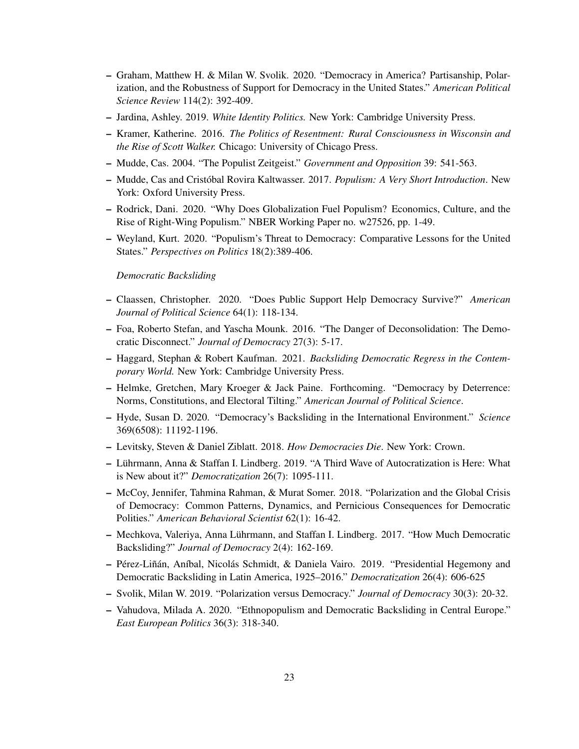- Graham, Matthew H. & Milan W. Svolik. 2020. "Democracy in America? Partisanship, Polarization, and the Robustness of Support for Democracy in the United States." *American Political Science Review* 114(2): 392-409.
- Jardina, Ashley. 2019. *White Identity Politics.* New York: Cambridge University Press.
- Kramer, Katherine. 2016. *The Politics of Resentment: Rural Consciousness in Wisconsin and the Rise of Scott Walker.* Chicago: University of Chicago Press.
- Mudde, Cas. 2004. "The Populist Zeitgeist." *Government and Opposition* 39: 541-563.
- Mudde, Cas and Cristóbal Rovira Kaltwasser. 2017. *Populism: A Very Short Introduction*. New York: Oxford University Press.
- Rodrick, Dani. 2020. "Why Does Globalization Fuel Populism? Economics, Culture, and the Rise of Right-Wing Populism." NBER Working Paper no. w27526, pp. 1-49.
- Weyland, Kurt. 2020. "Populism's Threat to Democracy: Comparative Lessons for the United States." *Perspectives on Politics* 18(2):389-406.

#### *Democratic Backsliding*

- Claassen, Christopher. 2020. "Does Public Support Help Democracy Survive?" *American Journal of Political Science* 64(1): 118-134.
- Foa, Roberto Stefan, and Yascha Mounk. 2016. "The Danger of Deconsolidation: The Democratic Disconnect." *Journal of Democracy* 27(3): 5-17.
- Haggard, Stephan & Robert Kaufman. 2021. *Backsliding Democratic Regress in the Contemporary World.* New York: Cambridge University Press.
- Helmke, Gretchen, Mary Kroeger & Jack Paine. Forthcoming. "Democracy by Deterrence: Norms, Constitutions, and Electoral Tilting." *American Journal of Political Science*.
- Hyde, Susan D. 2020. "Democracy's Backsliding in the International Environment." *Science* 369(6508): 11192-1196.
- Levitsky, Steven & Daniel Ziblatt. 2018. *How Democracies Die*. New York: Crown.
- Lührmann, Anna & Staffan I. Lindberg. 2019. "A Third Wave of Autocratization is Here: What is New about it?" *Democratization* 26(7): 1095-111.
- McCoy, Jennifer, Tahmina Rahman, & Murat Somer. 2018. "Polarization and the Global Crisis of Democracy: Common Patterns, Dynamics, and Pernicious Consequences for Democratic Polities." *American Behavioral Scientist* 62(1): 16-42.
- Mechkova, Valeriya, Anna Lührmann, and Staffan I. Lindberg. 2017. "How Much Democratic Backsliding?" *Journal of Democracy* 2(4): 162-169.
- Pérez-Liñán, Aníbal, Nicolás Schmidt, & Daniela Vairo. 2019. "Presidential Hegemony and Democratic Backsliding in Latin America, 1925–2016." *Democratization* 26(4): 606-625
- Svolik, Milan W. 2019. "Polarization versus Democracy." *Journal of Democracy* 30(3): 20-32.
- Vahudova, Milada A. 2020. "Ethnopopulism and Democratic Backsliding in Central Europe." *East European Politics* 36(3): 318-340.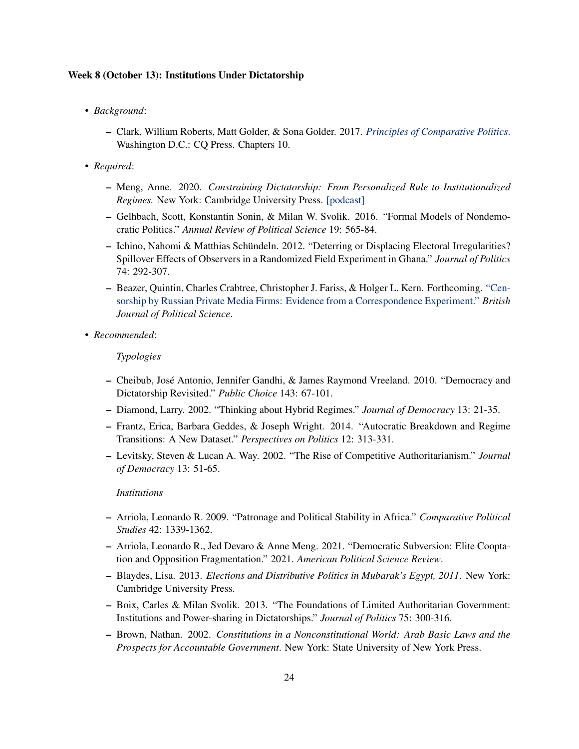## Week 8 (October 13): Institutions Under Dictatorship

- *Background*:
	- Clark, William Roberts, Matt Golder, & Sona Golder. 2017. *[Principles of Comparative Politics](https://us.sagepub.com/en-us/nam/principles-of-comparative-politics/book243842)*. Washington D.C.: CQ Press. Chapters 10.
- *Required*:
	- Meng, Anne. 2020. *Constraining Dictatorship: From Personalized Rule to Institutionalized Regimes.* New York: Cambridge University Press. [\[podcast\]](https://robertamsterdam.com/departures-podcast-with-anne-meng-author-of-constraining-dictatorship-from-personalized-rule-to-institutionalized-regimes/)
	- Gelhbach, Scott, Konstantin Sonin, & Milan W. Svolik. 2016. "Formal Models of Nondemocratic Politics." *Annual Review of Political Science* 19: 565-84.
	- Ichino, Nahomi & Matthias Schündeln. 2012. "Deterring or Displacing Electoral Irregularities? Spillover Effects of Observers in a Randomized Field Experiment in Ghana." *Journal of Politics* 74: 292-307.
	- Beazer, Quintin, Charles Crabtree, Christopher J. Fariss, & Holger L. Kern. Forthcoming. ["Cen](https://tinyurl.com/3tvwermr)[sorship by Russian Private Media Firms: Evidence from a Correspondence Experiment."](https://tinyurl.com/3tvwermr) *British Journal of Political Science*.
- *Recommended*:

#### *Typologies*

- Cheibub, José Antonio, Jennifer Gandhi, & James Raymond Vreeland. 2010. "Democracy and Dictatorship Revisited." *Public Choice* 143: 67-101.
- Diamond, Larry. 2002. "Thinking about Hybrid Regimes." *Journal of Democracy* 13: 21-35.
- Frantz, Erica, Barbara Geddes, & Joseph Wright. 2014. "Autocratic Breakdown and Regime Transitions: A New Dataset." *Perspectives on Politics* 12: 313-331.
- Levitsky, Steven & Lucan A. Way. 2002. "The Rise of Competitive Authoritarianism." *Journal of Democracy* 13: 51-65.

#### *Institutions*

- Arriola, Leonardo R. 2009. "Patronage and Political Stability in Africa." *Comparative Political Studies* 42: 1339-1362.
- Arriola, Leonardo R., Jed Devaro & Anne Meng. 2021. "Democratic Subversion: Elite Cooptation and Opposition Fragmentation." 2021. *American Political Science Review*.
- Blaydes, Lisa. 2013. *Elections and Distributive Politics in Mubarak's Egypt, 2011*. New York: Cambridge University Press.
- Boix, Carles & Milan Svolik. 2013. "The Foundations of Limited Authoritarian Government: Institutions and Power-sharing in Dictatorships." *Journal of Politics* 75: 300-316.
- Brown, Nathan. 2002. *Constitutions in a Nonconstitutional World: Arab Basic Laws and the Prospects for Accountable Government*. New York: State University of New York Press.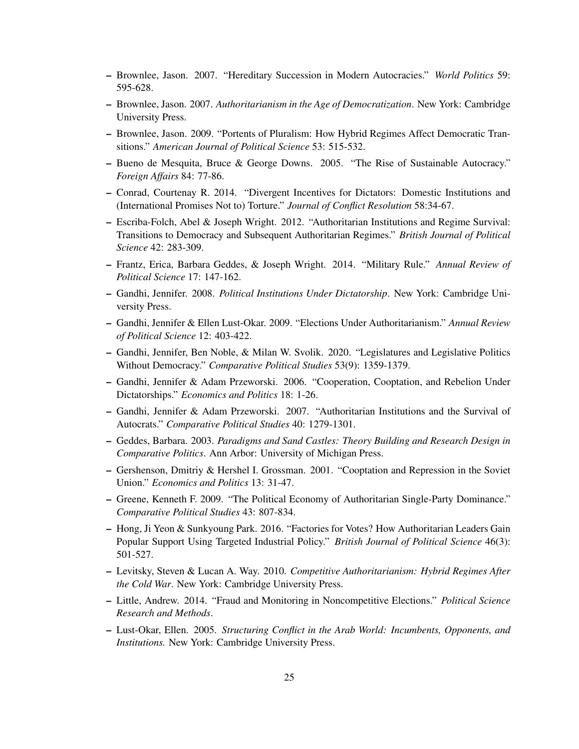- Brownlee, Jason. 2007. "Hereditary Succession in Modern Autocracies." *World Politics* 59: 595-628.
- Brownlee, Jason. 2007. *Authoritarianism in the Age of Democratization*. New York: Cambridge University Press.
- Brownlee, Jason. 2009. "Portents of Pluralism: How Hybrid Regimes Affect Democratic Transitions." *American Journal of Political Science* 53: 515-532.
- Bueno de Mesquita, Bruce & George Downs. 2005. "The Rise of Sustainable Autocracy." *Foreign Affairs* 84: 77-86.
- Conrad, Courtenay R. 2014. "Divergent Incentives for Dictators: Domestic Institutions and (International Promises Not to) Torture." *Journal of Conflict Resolution* 58:34-67.
- Escriba-Folch, Abel & Joseph Wright. 2012. "Authoritarian Institutions and Regime Survival: Transitions to Democracy and Subsequent Authoritarian Regimes." *British Journal of Political Science* 42: 283-309.
- Frantz, Erica, Barbara Geddes, & Joseph Wright. 2014. "Military Rule." *Annual Review of Political Science* 17: 147-162.
- Gandhi, Jennifer. 2008. *Political Institutions Under Dictatorship*. New York: Cambridge University Press.
- Gandhi, Jennifer & Ellen Lust-Okar. 2009. "Elections Under Authoritarianism." *Annual Review of Political Science* 12: 403-422.
- Gandhi, Jennifer, Ben Noble, & Milan W. Svolik. 2020. "Legislatures and Legislative Politics Without Democracy." *Comparative Political Studies* 53(9): 1359-1379.
- Gandhi, Jennifer & Adam Przeworski. 2006. "Cooperation, Cooptation, and Rebelion Under Dictatorships." *Economics and Politics* 18: 1-26.
- Gandhi, Jennifer & Adam Przeworski. 2007. "Authoritarian Institutions and the Survival of Autocrats." *Comparative Political Studies* 40: 1279-1301.
- Geddes, Barbara. 2003. *Paradigms and Sand Castles: Theory Building and Research Design in Comparative Politics*. Ann Arbor: University of Michigan Press.
- Gershenson, Dmitriy & Hershel I. Grossman. 2001. "Cooptation and Repression in the Soviet Union." *Economics and Politics* 13: 31-47.
- Greene, Kenneth F. 2009. "The Political Economy of Authoritarian Single-Party Dominance." *Comparative Political Studies* 43: 807-834.
- Hong, Ji Yeon & Sunkyoung Park. 2016. "Factories for Votes? How Authoritarian Leaders Gain Popular Support Using Targeted Industrial Policy." *British Journal of Political Science* 46(3): 501-527.
- Levitsky, Steven & Lucan A. Way. 2010. *Competitive Authoritarianism: Hybrid Regimes After the Cold War*. New York: Cambridge University Press.
- Little, Andrew. 2014. "Fraud and Monitoring in Noncompetitive Elections." *Political Science Research and Methods*.
- Lust-Okar, Ellen. 2005. *Structuring Conflict in the Arab World: Incumbents, Opponents, and Institutions.* New York: Cambridge University Press.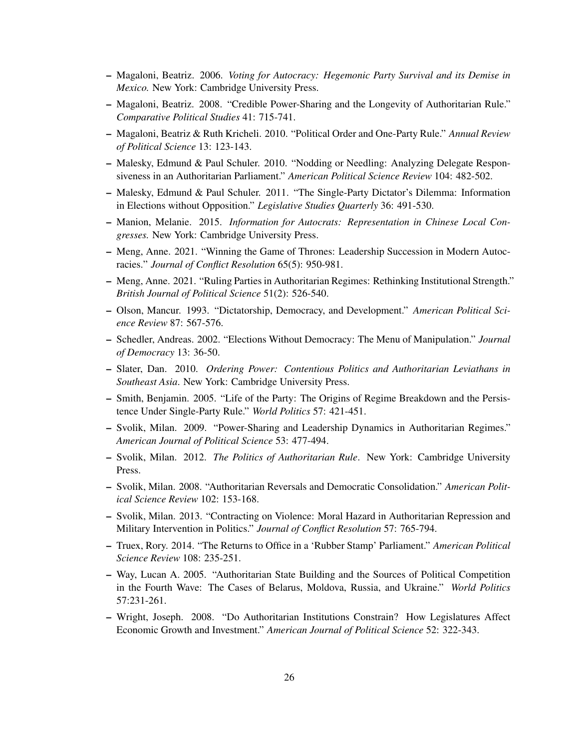- Magaloni, Beatriz. 2006. *Voting for Autocracy: Hegemonic Party Survival and its Demise in Mexico.* New York: Cambridge University Press.
- Magaloni, Beatriz. 2008. "Credible Power-Sharing and the Longevity of Authoritarian Rule." *Comparative Political Studies* 41: 715-741.
- Magaloni, Beatriz & Ruth Kricheli. 2010. "Political Order and One-Party Rule." *Annual Review of Political Science* 13: 123-143.
- Malesky, Edmund & Paul Schuler. 2010. "Nodding or Needling: Analyzing Delegate Responsiveness in an Authoritarian Parliament." *American Political Science Review* 104: 482-502.
- Malesky, Edmund & Paul Schuler. 2011. "The Single-Party Dictator's Dilemma: Information in Elections without Opposition." *Legislative Studies Quarterly* 36: 491-530.
- Manion, Melanie. 2015. *Information for Autocrats: Representation in Chinese Local Congresses.* New York: Cambridge University Press.
- Meng, Anne. 2021. "Winning the Game of Thrones: Leadership Succession in Modern Autocracies." *Journal of Conflict Resolution* 65(5): 950-981.
- Meng, Anne. 2021. "Ruling Parties in Authoritarian Regimes: Rethinking Institutional Strength." *British Journal of Political Science* 51(2): 526-540.
- Olson, Mancur. 1993. "Dictatorship, Democracy, and Development." *American Political Science Review* 87: 567-576.
- Schedler, Andreas. 2002. "Elections Without Democracy: The Menu of Manipulation." *Journal of Democracy* 13: 36-50.
- Slater, Dan. 2010. *Ordering Power: Contentious Politics and Authoritarian Leviathans in Southeast Asia*. New York: Cambridge University Press.
- Smith, Benjamin. 2005. "Life of the Party: The Origins of Regime Breakdown and the Persistence Under Single-Party Rule." *World Politics* 57: 421-451.
- Svolik, Milan. 2009. "Power-Sharing and Leadership Dynamics in Authoritarian Regimes." *American Journal of Political Science* 53: 477-494.
- Svolik, Milan. 2012. *The Politics of Authoritarian Rule*. New York: Cambridge University Press.
- Svolik, Milan. 2008. "Authoritarian Reversals and Democratic Consolidation." *American Political Science Review* 102: 153-168.
- Svolik, Milan. 2013. "Contracting on Violence: Moral Hazard in Authoritarian Repression and Military Intervention in Politics." *Journal of Conflict Resolution* 57: 765-794.
- Truex, Rory. 2014. "The Returns to Office in a 'Rubber Stamp' Parliament." *American Political Science Review* 108: 235-251.
- Way, Lucan A. 2005. "Authoritarian State Building and the Sources of Political Competition in the Fourth Wave: The Cases of Belarus, Moldova, Russia, and Ukraine." *World Politics* 57:231-261.
- Wright, Joseph. 2008. "Do Authoritarian Institutions Constrain? How Legislatures Affect Economic Growth and Investment." *American Journal of Political Science* 52: 322-343.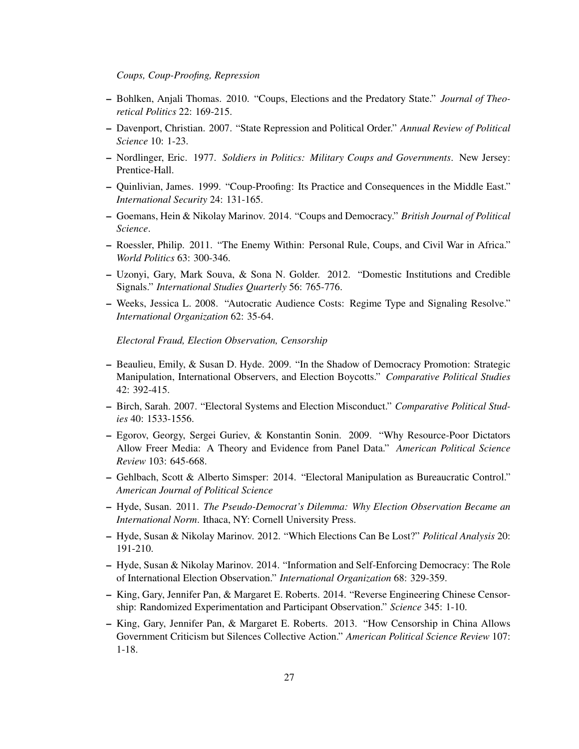*Coups, Coup-Proofing, Repression*

- Bohlken, Anjali Thomas. 2010. "Coups, Elections and the Predatory State." *Journal of Theoretical Politics* 22: 169-215.
- Davenport, Christian. 2007. "State Repression and Political Order." *Annual Review of Political Science* 10: 1-23.
- Nordlinger, Eric. 1977. *Soldiers in Politics: Military Coups and Governments*. New Jersey: Prentice-Hall.
- Quinlivian, James. 1999. "Coup-Proofing: Its Practice and Consequences in the Middle East." *International Security* 24: 131-165.
- Goemans, Hein & Nikolay Marinov. 2014. "Coups and Democracy." *British Journal of Political Science*.
- Roessler, Philip. 2011. "The Enemy Within: Personal Rule, Coups, and Civil War in Africa." *World Politics* 63: 300-346.
- Uzonyi, Gary, Mark Souva, & Sona N. Golder. 2012. "Domestic Institutions and Credible Signals." *International Studies Quarterly* 56: 765-776.
- Weeks, Jessica L. 2008. "Autocratic Audience Costs: Regime Type and Signaling Resolve." *International Organization* 62: 35-64.

*Electoral Fraud, Election Observation, Censorship*

- Beaulieu, Emily, & Susan D. Hyde. 2009. "In the Shadow of Democracy Promotion: Strategic Manipulation, International Observers, and Election Boycotts." *Comparative Political Studies* 42: 392-415.
- Birch, Sarah. 2007. "Electoral Systems and Election Misconduct." *Comparative Political Studies* 40: 1533-1556.
- Egorov, Georgy, Sergei Guriev, & Konstantin Sonin. 2009. "Why Resource-Poor Dictators Allow Freer Media: A Theory and Evidence from Panel Data." *American Political Science Review* 103: 645-668.
- Gehlbach, Scott & Alberto Simsper: 2014. "Electoral Manipulation as Bureaucratic Control." *American Journal of Political Science*
- Hyde, Susan. 2011. *The Pseudo-Democrat's Dilemma: Why Election Observation Became an International Norm*. Ithaca, NY: Cornell University Press.
- Hyde, Susan & Nikolay Marinov. 2012. "Which Elections Can Be Lost?" *Political Analysis* 20: 191-210.
- Hyde, Susan & Nikolay Marinov. 2014. "Information and Self-Enforcing Democracy: The Role of International Election Observation." *International Organization* 68: 329-359.
- King, Gary, Jennifer Pan, & Margaret E. Roberts. 2014. "Reverse Engineering Chinese Censorship: Randomized Experimentation and Participant Observation." *Science* 345: 1-10.
- King, Gary, Jennifer Pan, & Margaret E. Roberts. 2013. "How Censorship in China Allows Government Criticism but Silences Collective Action." *American Political Science Review* 107: 1-18.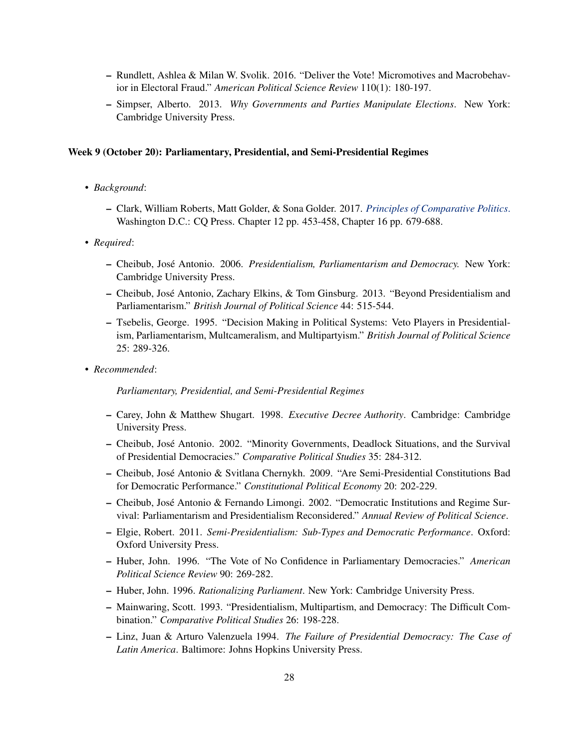- Rundlett, Ashlea & Milan W. Svolik. 2016. "Deliver the Vote! Micromotives and Macrobehavior in Electoral Fraud." *American Political Science Review* 110(1): 180-197.
- Simpser, Alberto. 2013. *Why Governments and Parties Manipulate Elections*. New York: Cambridge University Press.

#### Week 9 (October 20): Parliamentary, Presidential, and Semi-Presidential Regimes

- *Background*:
	- Clark, William Roberts, Matt Golder, & Sona Golder. 2017. *[Principles of Comparative Politics](https://us.sagepub.com/en-us/nam/principles-of-comparative-politics/book243842)*. Washington D.C.: CQ Press. Chapter 12 pp. 453-458, Chapter 16 pp. 679-688.
- *Required*:
	- Cheibub, José Antonio. 2006. *Presidentialism, Parliamentarism and Democracy.* New York: Cambridge University Press.
	- Cheibub, José Antonio, Zachary Elkins, & Tom Ginsburg. 2013. "Beyond Presidentialism and Parliamentarism." *British Journal of Political Science* 44: 515-544.
	- Tsebelis, George. 1995. "Decision Making in Political Systems: Veto Players in Presidentialism, Parliamentarism, Multcameralism, and Multipartyism." *British Journal of Political Science* 25: 289-326.
- *Recommended*:

*Parliamentary, Presidential, and Semi-Presidential Regimes*

- Carey, John & Matthew Shugart. 1998. *Executive Decree Authority*. Cambridge: Cambridge University Press.
- Cheibub, José Antonio. 2002. "Minority Governments, Deadlock Situations, and the Survival of Presidential Democracies." *Comparative Political Studies* 35: 284-312.
- Cheibub, José Antonio & Svitlana Chernykh. 2009. "Are Semi-Presidential Constitutions Bad for Democratic Performance." *Constitutional Political Economy* 20: 202-229.
- Cheibub, José Antonio & Fernando Limongi. 2002. "Democratic Institutions and Regime Survival: Parliamentarism and Presidentialism Reconsidered." *Annual Review of Political Science*.
- Elgie, Robert. 2011. *Semi-Presidentialism: Sub-Types and Democratic Performance*. Oxford: Oxford University Press.
- Huber, John. 1996. "The Vote of No Confidence in Parliamentary Democracies." *American Political Science Review* 90: 269-282.
- Huber, John. 1996. *Rationalizing Parliament*. New York: Cambridge University Press.
- Mainwaring, Scott. 1993. "Presidentialism, Multipartism, and Democracy: The Difficult Combination." *Comparative Political Studies* 26: 198-228.
- Linz, Juan & Arturo Valenzuela 1994. *The Failure of Presidential Democracy: The Case of Latin America*. Baltimore: Johns Hopkins University Press.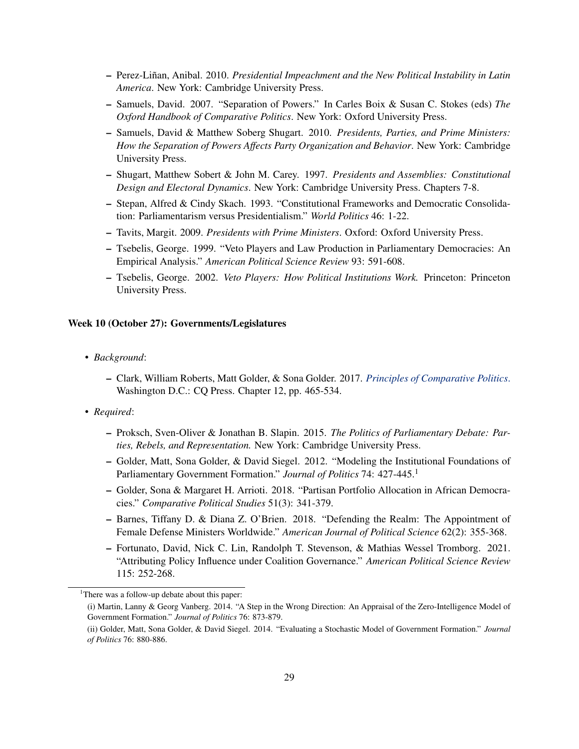- Perez-Liñan, Anibal. 2010. *Presidential Impeachment and the New Political Instability in Latin America*. New York: Cambridge University Press.
- Samuels, David. 2007. "Separation of Powers." In Carles Boix & Susan C. Stokes (eds) *The Oxford Handbook of Comparative Politics*. New York: Oxford University Press.
- Samuels, David & Matthew Soberg Shugart. 2010. *Presidents, Parties, and Prime Ministers: How the Separation of Powers Affects Party Organization and Behavior*. New York: Cambridge University Press.
- Shugart, Matthew Sobert & John M. Carey. 1997. *Presidents and Assemblies: Constitutional Design and Electoral Dynamics*. New York: Cambridge University Press. Chapters 7-8.
- Stepan, Alfred & Cindy Skach. 1993. "Constitutional Frameworks and Democratic Consolidation: Parliamentarism versus Presidentialism." *World Politics* 46: 1-22.
- Tavits, Margit. 2009. *Presidents with Prime Ministers*. Oxford: Oxford University Press.
- Tsebelis, George. 1999. "Veto Players and Law Production in Parliamentary Democracies: An Empirical Analysis." *American Political Science Review* 93: 591-608.
- Tsebelis, George. 2002. *Veto Players: How Political Institutions Work.* Princeton: Princeton University Press.

#### Week 10 (October 27): Governments/Legislatures

- *Background*:
	- Clark, William Roberts, Matt Golder, & Sona Golder. 2017. *[Principles of Comparative Politics](https://us.sagepub.com/en-us/nam/principles-of-comparative-politics/book243842)*. Washington D.C.: CQ Press. Chapter 12, pp. 465-534.
- *Required*:
	- Proksch, Sven-Oliver & Jonathan B. Slapin. 2015. *The Politics of Parliamentary Debate: Parties, Rebels, and Representation.* New York: Cambridge University Press.
	- Golder, Matt, Sona Golder, & David Siegel. 2012. "Modeling the Institutional Foundations of Parliamentary Government Formation." *Journal of Politics* 74: 427-445.[1](#page-28-0)
	- Golder, Sona & Margaret H. Arrioti. 2018. "Partisan Portfolio Allocation in African Democracies." *Comparative Political Studies* 51(3): 341-379.
	- Barnes, Tiffany D. & Diana Z. O'Brien. 2018. "Defending the Realm: The Appointment of Female Defense Ministers Worldwide." *American Journal of Political Science* 62(2): 355-368.
	- Fortunato, David, Nick C. Lin, Randolph T. Stevenson, & Mathias Wessel Tromborg. 2021. "Attributing Policy Influence under Coalition Governance." *American Political Science Review* 115: 252-268.

<span id="page-28-0"></span><sup>&</sup>lt;sup>1</sup>There was a follow-up debate about this paper:

<sup>(</sup>i) Martin, Lanny & Georg Vanberg. 2014. "A Step in the Wrong Direction: An Appraisal of the Zero-Intelligence Model of Government Formation." *Journal of Politics* 76: 873-879.

<sup>(</sup>ii) Golder, Matt, Sona Golder, & David Siegel. 2014. "Evaluating a Stochastic Model of Government Formation." *Journal of Politics* 76: 880-886.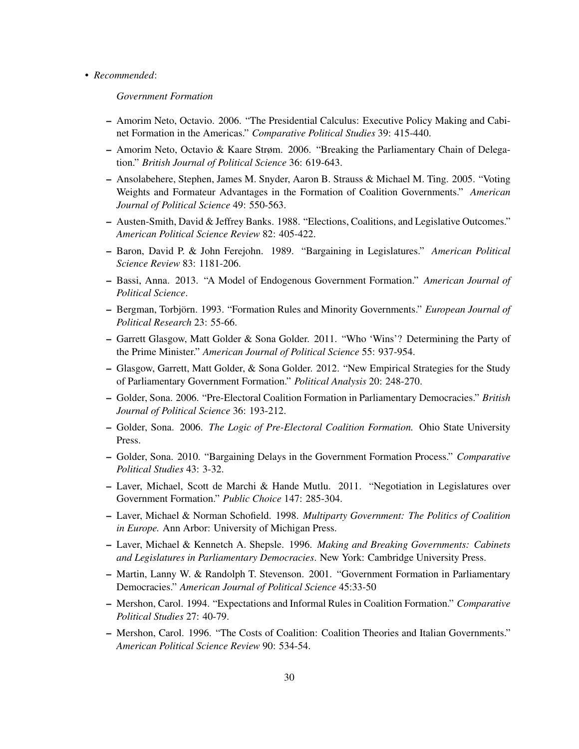#### • *Recommended*:

*Government Formation*

- Amorim Neto, Octavio. 2006. "The Presidential Calculus: Executive Policy Making and Cabinet Formation in the Americas." *Comparative Political Studies* 39: 415-440.
- Amorim Neto, Octavio & Kaare Strøm. 2006. "Breaking the Parliamentary Chain of Delegation." *British Journal of Political Science* 36: 619-643.
- Ansolabehere, Stephen, James M. Snyder, Aaron B. Strauss & Michael M. Ting. 2005. "Voting Weights and Formateur Advantages in the Formation of Coalition Governments." *American Journal of Political Science* 49: 550-563.
- Austen-Smith, David & Jeffrey Banks. 1988. "Elections, Coalitions, and Legislative Outcomes." *American Political Science Review* 82: 405-422.
- Baron, David P. & John Ferejohn. 1989. "Bargaining in Legislatures." *American Political Science Review* 83: 1181-206.
- Bassi, Anna. 2013. "A Model of Endogenous Government Formation." *American Journal of Political Science*.
- Bergman, Torbjörn. 1993. "Formation Rules and Minority Governments." *European Journal of Political Research* 23: 55-66.
- Garrett Glasgow, Matt Golder & Sona Golder. 2011. "Who 'Wins'? Determining the Party of the Prime Minister." *American Journal of Political Science* 55: 937-954.
- Glasgow, Garrett, Matt Golder, & Sona Golder. 2012. "New Empirical Strategies for the Study of Parliamentary Government Formation." *Political Analysis* 20: 248-270.
- Golder, Sona. 2006. "Pre-Electoral Coalition Formation in Parliamentary Democracies." *British Journal of Political Science* 36: 193-212.
- Golder, Sona. 2006. *The Logic of Pre-Electoral Coalition Formation.* Ohio State University Press.
- Golder, Sona. 2010. "Bargaining Delays in the Government Formation Process." *Comparative Political Studies* 43: 3-32.
- Laver, Michael, Scott de Marchi & Hande Mutlu. 2011. "Negotiation in Legislatures over Government Formation." *Public Choice* 147: 285-304.
- Laver, Michael & Norman Schofield. 1998. *Multiparty Government: The Politics of Coalition in Europe.* Ann Arbor: University of Michigan Press.
- Laver, Michael & Kennetch A. Shepsle. 1996. *Making and Breaking Governments: Cabinets and Legislatures in Parliamentary Democracies*. New York: Cambridge University Press.
- Martin, Lanny W. & Randolph T. Stevenson. 2001. "Government Formation in Parliamentary Democracies." *American Journal of Political Science* 45:33-50
- Mershon, Carol. 1994. "Expectations and Informal Rules in Coalition Formation." *Comparative Political Studies* 27: 40-79.
- Mershon, Carol. 1996. "The Costs of Coalition: Coalition Theories and Italian Governments." *American Political Science Review* 90: 534-54.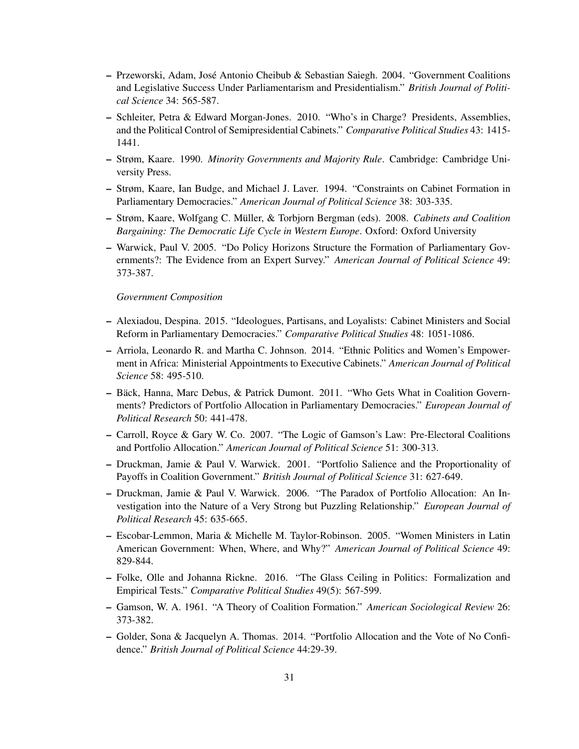- Przeworski, Adam, José Antonio Cheibub & Sebastian Saiegh. 2004. "Government Coalitions and Legislative Success Under Parliamentarism and Presidentialism." *British Journal of Political Science* 34: 565-587.
- Schleiter, Petra & Edward Morgan-Jones. 2010. "Who's in Charge? Presidents, Assemblies, and the Political Control of Semipresidential Cabinets." *Comparative Political Studies* 43: 1415- 1441.
- Strøm, Kaare. 1990. *Minority Governments and Majority Rule*. Cambridge: Cambridge University Press.
- Strøm, Kaare, Ian Budge, and Michael J. Laver. 1994. "Constraints on Cabinet Formation in Parliamentary Democracies." *American Journal of Political Science* 38: 303-335.
- Strøm, Kaare, Wolfgang C. Müller, & Torbjorn Bergman (eds). 2008. *Cabinets and Coalition Bargaining: The Democratic Life Cycle in Western Europe*. Oxford: Oxford University
- Warwick, Paul V. 2005. "Do Policy Horizons Structure the Formation of Parliamentary Governments?: The Evidence from an Expert Survey." *American Journal of Political Science* 49: 373-387.

## *Government Composition*

- Alexiadou, Despina. 2015. "Ideologues, Partisans, and Loyalists: Cabinet Ministers and Social Reform in Parliamentary Democracies." *Comparative Political Studies* 48: 1051-1086.
- Arriola, Leonardo R. and Martha C. Johnson. 2014. "Ethnic Politics and Women's Empowerment in Africa: Ministerial Appointments to Executive Cabinets." *American Journal of Political Science* 58: 495-510.
- Bäck, Hanna, Marc Debus, & Patrick Dumont. 2011. "Who Gets What in Coalition Governments? Predictors of Portfolio Allocation in Parliamentary Democracies." *European Journal of Political Research* 50: 441-478.
- Carroll, Royce & Gary W. Co. 2007. "The Logic of Gamson's Law: Pre-Electoral Coalitions and Portfolio Allocation." *American Journal of Political Science* 51: 300-313.
- Druckman, Jamie & Paul V. Warwick. 2001. "Portfolio Salience and the Proportionality of Payoffs in Coalition Government." *British Journal of Political Science* 31: 627-649.
- Druckman, Jamie & Paul V. Warwick. 2006. "The Paradox of Portfolio Allocation: An Investigation into the Nature of a Very Strong but Puzzling Relationship." *European Journal of Political Research* 45: 635-665.
- Escobar-Lemmon, Maria & Michelle M. Taylor-Robinson. 2005. "Women Ministers in Latin American Government: When, Where, and Why?" *American Journal of Political Science* 49: 829-844.
- Folke, Olle and Johanna Rickne. 2016. "The Glass Ceiling in Politics: Formalization and Empirical Tests." *Comparative Political Studies* 49(5): 567-599.
- Gamson, W. A. 1961. "A Theory of Coalition Formation." *American Sociological Review* 26: 373-382.
- Golder, Sona & Jacquelyn A. Thomas. 2014. "Portfolio Allocation and the Vote of No Confidence." *British Journal of Political Science* 44:29-39.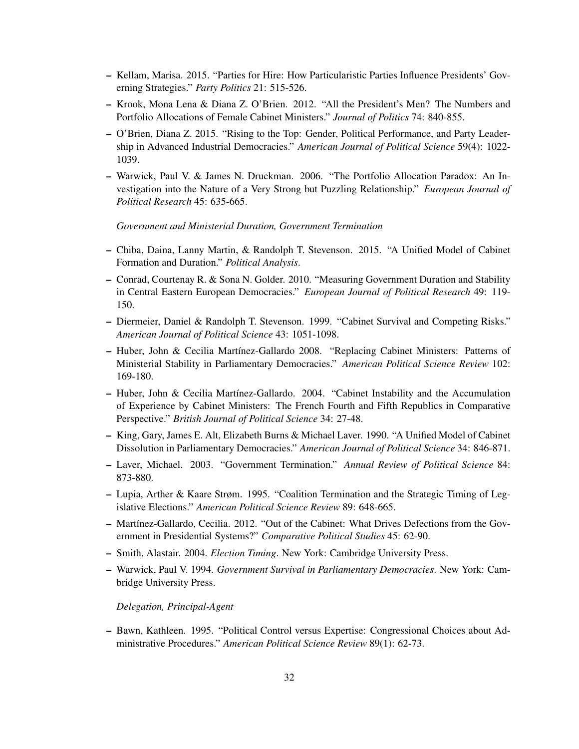- Kellam, Marisa. 2015. "Parties for Hire: How Particularistic Parties Influence Presidents' Governing Strategies." *Party Politics* 21: 515-526.
- Krook, Mona Lena & Diana Z. O'Brien. 2012. "All the President's Men? The Numbers and Portfolio Allocations of Female Cabinet Ministers." *Journal of Politics* 74: 840-855.
- O'Brien, Diana Z. 2015. "Rising to the Top: Gender, Political Performance, and Party Leadership in Advanced Industrial Democracies." *American Journal of Political Science* 59(4): 1022- 1039.
- Warwick, Paul V. & James N. Druckman. 2006. "The Portfolio Allocation Paradox: An Investigation into the Nature of a Very Strong but Puzzling Relationship." *European Journal of Political Research* 45: 635-665.

*Government and Ministerial Duration, Government Termination*

- Chiba, Daina, Lanny Martin, & Randolph T. Stevenson. 2015. "A Unified Model of Cabinet Formation and Duration." *Political Analysis*.
- Conrad, Courtenay R. & Sona N. Golder. 2010. "Measuring Government Duration and Stability in Central Eastern European Democracies." *European Journal of Political Research* 49: 119- 150.
- Diermeier, Daniel & Randolph T. Stevenson. 1999. "Cabinet Survival and Competing Risks." *American Journal of Political Science* 43: 1051-1098.
- Huber, John & Cecilia Martínez-Gallardo 2008. "Replacing Cabinet Ministers: Patterns of Ministerial Stability in Parliamentary Democracies." *American Political Science Review* 102: 169-180.
- Huber, John & Cecilia Martínez-Gallardo. 2004. "Cabinet Instability and the Accumulation of Experience by Cabinet Ministers: The French Fourth and Fifth Republics in Comparative Perspective." *British Journal of Political Science* 34: 27-48.
- King, Gary, James E. Alt, Elizabeth Burns & Michael Laver. 1990. "A Unified Model of Cabinet Dissolution in Parliamentary Democracies." *American Journal of Political Science* 34: 846-871.
- Laver, Michael. 2003. "Government Termination." *Annual Review of Political Science* 84: 873-880.
- Lupia, Arther & Kaare Strøm. 1995. "Coalition Termination and the Strategic Timing of Legislative Elections." *American Political Science Review* 89: 648-665.
- Martínez-Gallardo, Cecilia. 2012. "Out of the Cabinet: What Drives Defections from the Government in Presidential Systems?" *Comparative Political Studies* 45: 62-90.
- Smith, Alastair. 2004. *Election Timing*. New York: Cambridge University Press.
- Warwick, Paul V. 1994. *Government Survival in Parliamentary Democracies*. New York: Cambridge University Press.

*Delegation, Principal-Agent*

– Bawn, Kathleen. 1995. "Political Control versus Expertise: Congressional Choices about Administrative Procedures." *American Political Science Review* 89(1): 62-73.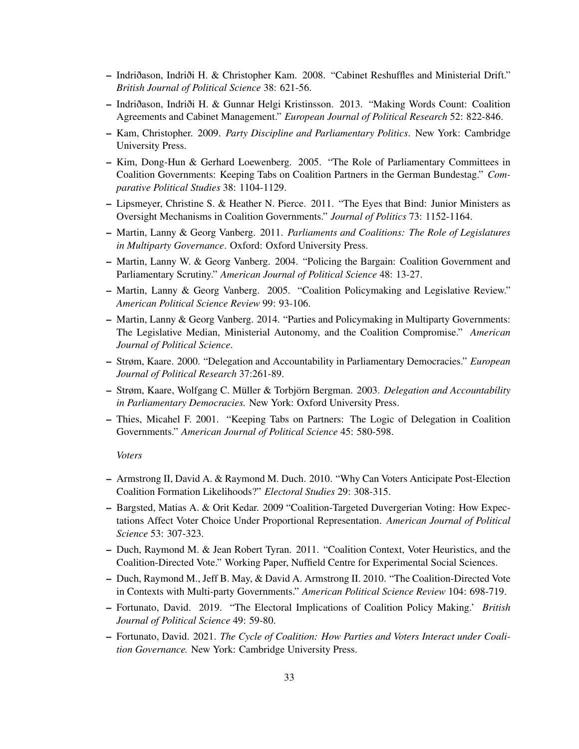- Indriðason, Indriði H. & Christopher Kam. 2008. "Cabinet Reshuffles and Ministerial Drift." *British Journal of Political Science* 38: 621-56.
- Indriðason, Indriði H. & Gunnar Helgi Kristinsson. 2013. "Making Words Count: Coalition Agreements and Cabinet Management." *European Journal of Political Research* 52: 822-846.
- Kam, Christopher. 2009. *Party Discipline and Parliamentary Politics*. New York: Cambridge University Press.
- Kim, Dong-Hun & Gerhard Loewenberg. 2005. "The Role of Parliamentary Committees in Coalition Governments: Keeping Tabs on Coalition Partners in the German Bundestag." *Comparative Political Studies* 38: 1104-1129.
- Lipsmeyer, Christine S. & Heather N. Pierce. 2011. "The Eyes that Bind: Junior Ministers as Oversight Mechanisms in Coalition Governments." *Journal of Politics* 73: 1152-1164.
- Martin, Lanny & Georg Vanberg. 2011. *Parliaments and Coalitions: The Role of Legislatures in Multiparty Governance*. Oxford: Oxford University Press.
- Martin, Lanny W. & Georg Vanberg. 2004. "Policing the Bargain: Coalition Government and Parliamentary Scrutiny." *American Journal of Political Science* 48: 13-27.
- Martin, Lanny & Georg Vanberg. 2005. "Coalition Policymaking and Legislative Review." *American Political Science Review* 99: 93-106.
- Martin, Lanny & Georg Vanberg. 2014. "Parties and Policymaking in Multiparty Governments: The Legislative Median, Ministerial Autonomy, and the Coalition Compromise." *American Journal of Political Science*.
- Strøm, Kaare. 2000. "Delegation and Accountability in Parliamentary Democracies." *European Journal of Political Research* 37:261-89.
- Strøm, Kaare, Wolfgang C. Müller & Torbjörn Bergman. 2003. *Delegation and Accountability in Parliamentary Democracies.* New York: Oxford University Press.
- Thies, Micahel F. 2001. "Keeping Tabs on Partners: The Logic of Delegation in Coalition Governments." *American Journal of Political Science* 45: 580-598.

*Voters*

- Armstrong II, David A. & Raymond M. Duch. 2010. "Why Can Voters Anticipate Post-Election Coalition Formation Likelihoods?" *Electoral Studies* 29: 308-315.
- Bargsted, Matias A. & Orit Kedar. 2009 "Coalition-Targeted Duvergerian Voting: How Expectations Affect Voter Choice Under Proportional Representation. *American Journal of Political Science* 53: 307-323.
- Duch, Raymond M. & Jean Robert Tyran. 2011. "Coalition Context, Voter Heuristics, and the Coalition-Directed Vote." Working Paper, Nuffield Centre for Experimental Social Sciences.
- Duch, Raymond M., Jeff B. May, & David A. Armstrong II. 2010. "The Coalition-Directed Vote in Contexts with Multi-party Governments." *American Political Science Review* 104: 698-719.
- Fortunato, David. 2019. "The Electoral Implications of Coalition Policy Making.' *British Journal of Political Science* 49: 59-80.
- Fortunato, David. 2021. *The Cycle of Coalition: How Parties and Voters Interact under Coalition Governance.* New York: Cambridge University Press.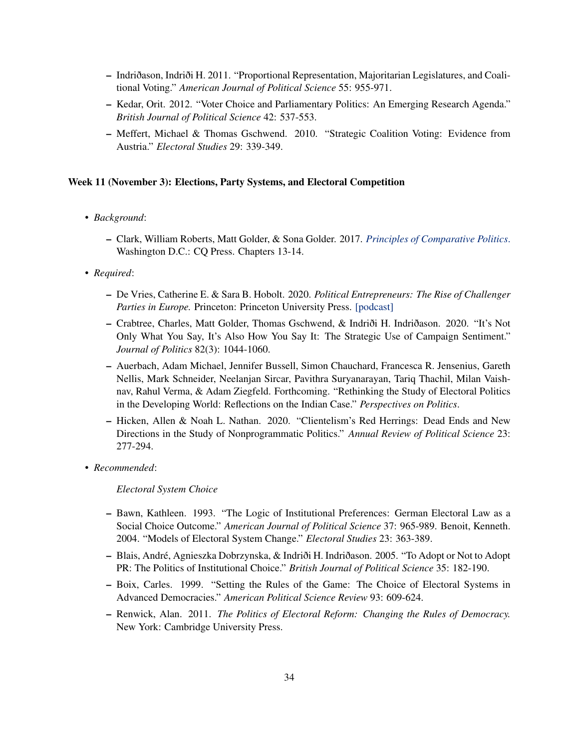- Indriðason, Indriði H. 2011. "Proportional Representation, Majoritarian Legislatures, and Coalitional Voting." *American Journal of Political Science* 55: 955-971.
- Kedar, Orit. 2012. "Voter Choice and Parliamentary Politics: An Emerging Research Agenda." *British Journal of Political Science* 42: 537-553.
- Meffert, Michael & Thomas Gschwend. 2010. "Strategic Coalition Voting: Evidence from Austria." *Electoral Studies* 29: 339-349.

## Week 11 (November 3): Elections, Party Systems, and Electoral Competition

- *Background*:
	- Clark, William Roberts, Matt Golder, & Sona Golder. 2017. *[Principles of Comparative Politics](https://us.sagepub.com/en-us/nam/principles-of-comparative-politics/book243842)*. Washington D.C.: CQ Press. Chapters 13-14.
- *Required*:
	- De Vries, Catherine E. & Sara B. Hobolt. 2020. *Political Entrepreneurs: The Rise of Challenger Parties in Europe.* Princeton: Princeton University Press. [\[podcast\]](https://podcasts.apple.com/us/podcast/episode-55-political-entrepreneurs-electoral-change/id1254074458?i=1000463107078)
	- Crabtree, Charles, Matt Golder, Thomas Gschwend, & Indriði H. Indriðason. 2020. "It's Not Only What You Say, It's Also How You Say It: The Strategic Use of Campaign Sentiment." *Journal of Politics* 82(3): 1044-1060.
	- Auerbach, Adam Michael, Jennifer Bussell, Simon Chauchard, Francesca R. Jensenius, Gareth Nellis, Mark Schneider, Neelanjan Sircar, Pavithra Suryanarayan, Tariq Thachil, Milan Vaishnav, Rahul Verma, & Adam Ziegfeld. Forthcoming. "Rethinking the Study of Electoral Politics in the Developing World: Reflections on the Indian Case." *Perspectives on Politics*.
	- Hicken, Allen & Noah L. Nathan. 2020. "Clientelism's Red Herrings: Dead Ends and New Directions in the Study of Nonprogrammatic Politics." *Annual Review of Political Science* 23: 277-294.
- *Recommended*:

*Electoral System Choice*

- Bawn, Kathleen. 1993. "The Logic of Institutional Preferences: German Electoral Law as a Social Choice Outcome." *American Journal of Political Science* 37: 965-989. Benoit, Kenneth. 2004. "Models of Electoral System Change." *Electoral Studies* 23: 363-389.
- Blais, André, Agnieszka Dobrzynska, & Indriði H. Indriðason. 2005. "To Adopt or Not to Adopt PR: The Politics of Institutional Choice." *British Journal of Political Science* 35: 182-190.
- Boix, Carles. 1999. "Setting the Rules of the Game: The Choice of Electoral Systems in Advanced Democracies." *American Political Science Review* 93: 609-624.
- Renwick, Alan. 2011. *The Politics of Electoral Reform: Changing the Rules of Democracy.* New York: Cambridge University Press.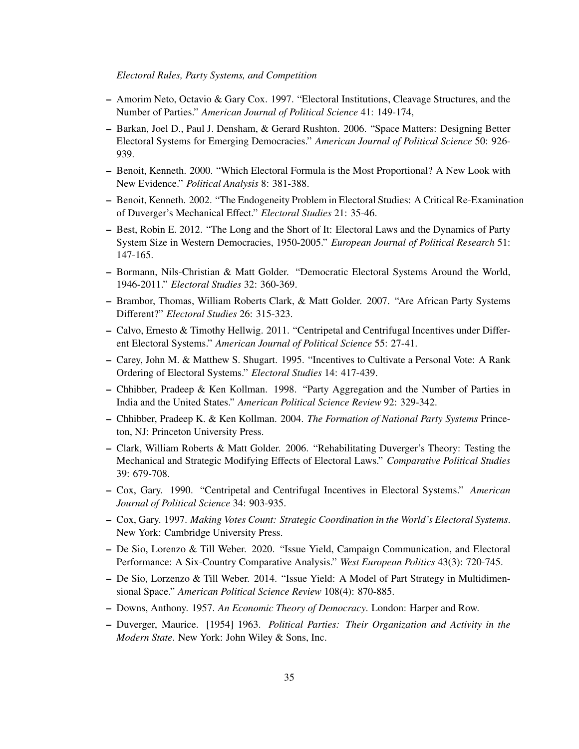## *Electoral Rules, Party Systems, and Competition*

- Amorim Neto, Octavio & Gary Cox. 1997. "Electoral Institutions, Cleavage Structures, and the Number of Parties." *American Journal of Political Science* 41: 149-174,
- Barkan, Joel D., Paul J. Densham, & Gerard Rushton. 2006. "Space Matters: Designing Better Electoral Systems for Emerging Democracies." *American Journal of Political Science* 50: 926- 939.
- Benoit, Kenneth. 2000. "Which Electoral Formula is the Most Proportional? A New Look with New Evidence." *Political Analysis* 8: 381-388.
- Benoit, Kenneth. 2002. "The Endogeneity Problem in Electoral Studies: A Critical Re-Examination of Duverger's Mechanical Effect." *Electoral Studies* 21: 35-46.
- Best, Robin E. 2012. "The Long and the Short of It: Electoral Laws and the Dynamics of Party System Size in Western Democracies, 1950-2005." *European Journal of Political Research* 51: 147-165.
- Bormann, Nils-Christian & Matt Golder. "Democratic Electoral Systems Around the World, 1946-2011." *Electoral Studies* 32: 360-369.
- Brambor, Thomas, William Roberts Clark, & Matt Golder. 2007. "Are African Party Systems Different?" *Electoral Studies* 26: 315-323.
- Calvo, Ernesto & Timothy Hellwig. 2011. "Centripetal and Centrifugal Incentives under Different Electoral Systems." *American Journal of Political Science* 55: 27-41.
- Carey, John M. & Matthew S. Shugart. 1995. "Incentives to Cultivate a Personal Vote: A Rank Ordering of Electoral Systems." *Electoral Studies* 14: 417-439.
- Chhibber, Pradeep & Ken Kollman. 1998. "Party Aggregation and the Number of Parties in India and the United States." *American Political Science Review* 92: 329-342.
- Chhibber, Pradeep K. & Ken Kollman. 2004. *The Formation of National Party Systems* Princeton, NJ: Princeton University Press.
- Clark, William Roberts & Matt Golder. 2006. "Rehabilitating Duverger's Theory: Testing the Mechanical and Strategic Modifying Effects of Electoral Laws." *Comparative Political Studies* 39: 679-708.
- Cox, Gary. 1990. "Centripetal and Centrifugal Incentives in Electoral Systems." *American Journal of Political Science* 34: 903-935.
- Cox, Gary. 1997. *Making Votes Count: Strategic Coordination in the World's Electoral Systems*. New York: Cambridge University Press.
- De Sio, Lorenzo & Till Weber. 2020. "Issue Yield, Campaign Communication, and Electoral Performance: A Six-Country Comparative Analysis." *West European Politics* 43(3): 720-745.
- De Sio, Lorzenzo & Till Weber. 2014. "Issue Yield: A Model of Part Strategy in Multidimensional Space." *American Political Science Review* 108(4): 870-885.
- Downs, Anthony. 1957. *An Economic Theory of Democracy*. London: Harper and Row.
- Duverger, Maurice. [1954] 1963. *Political Parties: Their Organization and Activity in the Modern State*. New York: John Wiley & Sons, Inc.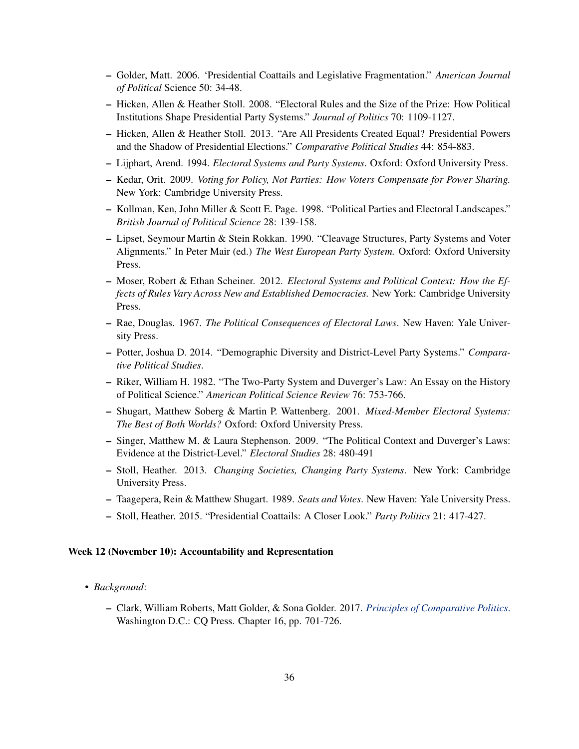- Golder, Matt. 2006. 'Presidential Coattails and Legislative Fragmentation." *American Journal of Political* Science 50: 34-48.
- Hicken, Allen & Heather Stoll. 2008. "Electoral Rules and the Size of the Prize: How Political Institutions Shape Presidential Party Systems." *Journal of Politics* 70: 1109-1127.
- Hicken, Allen & Heather Stoll. 2013. "Are All Presidents Created Equal? Presidential Powers and the Shadow of Presidential Elections." *Comparative Political Studies* 44: 854-883.
- Lijphart, Arend. 1994. *Electoral Systems and Party Systems*. Oxford: Oxford University Press.
- Kedar, Orit. 2009. *Voting for Policy, Not Parties: How Voters Compensate for Power Sharing.* New York: Cambridge University Press.
- Kollman, Ken, John Miller & Scott E. Page. 1998. "Political Parties and Electoral Landscapes." *British Journal of Political Science* 28: 139-158.
- Lipset, Seymour Martin & Stein Rokkan. 1990. "Cleavage Structures, Party Systems and Voter Alignments." In Peter Mair (ed.) *The West European Party System.* Oxford: Oxford University Press.
- Moser, Robert & Ethan Scheiner. 2012. *Electoral Systems and Political Context: How the Effects of Rules Vary Across New and Established Democracies.* New York: Cambridge University Press.
- Rae, Douglas. 1967. *The Political Consequences of Electoral Laws*. New Haven: Yale University Press.
- Potter, Joshua D. 2014. "Demographic Diversity and District-Level Party Systems." *Comparative Political Studies*.
- Riker, William H. 1982. "The Two-Party System and Duverger's Law: An Essay on the History of Political Science." *American Political Science Review* 76: 753-766.
- Shugart, Matthew Soberg & Martin P. Wattenberg. 2001. *Mixed-Member Electoral Systems: The Best of Both Worlds?* Oxford: Oxford University Press.
- Singer, Matthew M. & Laura Stephenson. 2009. "The Political Context and Duverger's Laws: Evidence at the District-Level." *Electoral Studies* 28: 480-491
- Stoll, Heather. 2013. *Changing Societies, Changing Party Systems*. New York: Cambridge University Press.
- Taagepera, Rein & Matthew Shugart. 1989. *Seats and Votes*. New Haven: Yale University Press.
- Stoll, Heather. 2015. "Presidential Coattails: A Closer Look." *Party Politics* 21: 417-427.

## Week 12 (November 10): Accountability and Representation

- *Background*:
	- Clark, William Roberts, Matt Golder, & Sona Golder. 2017. *[Principles of Comparative Politics](https://us.sagepub.com/en-us/nam/principles-of-comparative-politics/book243842)*. Washington D.C.: CQ Press. Chapter 16, pp. 701-726.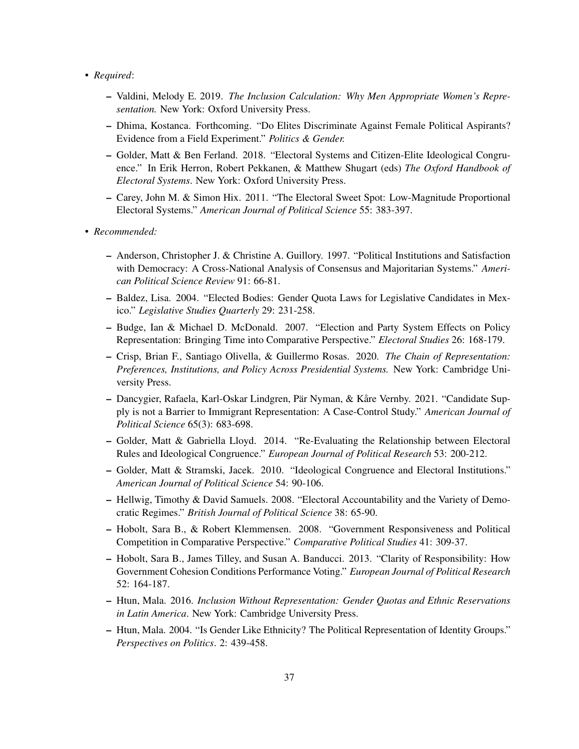- *Required*:
	- Valdini, Melody E. 2019. *The Inclusion Calculation: Why Men Appropriate Women's Representation.* New York: Oxford University Press.
	- Dhima, Kostanca. Forthcoming. "Do Elites Discriminate Against Female Political Aspirants? Evidence from a Field Experiment." *Politics & Gender.*
	- Golder, Matt & Ben Ferland. 2018. "Electoral Systems and Citizen-Elite Ideological Congruence." In Erik Herron, Robert Pekkanen, & Matthew Shugart (eds) *The Oxford Handbook of Electoral Systems*. New York: Oxford University Press.
	- Carey, John M. & Simon Hix. 2011. "The Electoral Sweet Spot: Low-Magnitude Proportional Electoral Systems." *American Journal of Political Science* 55: 383-397.
- *Recommended:*
	- Anderson, Christopher J. & Christine A. Guillory. 1997. "Political Institutions and Satisfaction with Democracy: A Cross-National Analysis of Consensus and Majoritarian Systems." *American Political Science Review* 91: 66-81.
	- Baldez, Lisa. 2004. "Elected Bodies: Gender Quota Laws for Legislative Candidates in Mexico." *Legislative Studies Quarterly* 29: 231-258.
	- Budge, Ian & Michael D. McDonald. 2007. "Election and Party System Effects on Policy Representation: Bringing Time into Comparative Perspective." *Electoral Studies* 26: 168-179.
	- Crisp, Brian F., Santiago Olivella, & Guillermo Rosas. 2020. *The Chain of Representation: Preferences, Institutions, and Policy Across Presidential Systems.* New York: Cambridge University Press.
	- Dancygier, Rafaela, Karl-Oskar Lindgren, Pär Nyman, & Kåre Vernby. 2021. "Candidate Supply is not a Barrier to Immigrant Representation: A Case-Control Study." *American Journal of Political Science* 65(3): 683-698.
	- Golder, Matt & Gabriella Lloyd. 2014. "Re-Evaluating the Relationship between Electoral Rules and Ideological Congruence." *European Journal of Political Research* 53: 200-212.
	- Golder, Matt & Stramski, Jacek. 2010. "Ideological Congruence and Electoral Institutions." *American Journal of Political Science* 54: 90-106.
	- Hellwig, Timothy & David Samuels. 2008. "Electoral Accountability and the Variety of Democratic Regimes." *British Journal of Political Science* 38: 65-90.
	- Hobolt, Sara B., & Robert Klemmensen. 2008. "Government Responsiveness and Political Competition in Comparative Perspective." *Comparative Political Studies* 41: 309-37.
	- Hobolt, Sara B., James Tilley, and Susan A. Banducci. 2013. "Clarity of Responsibility: How Government Cohesion Conditions Performance Voting." *European Journal of Political Research* 52: 164-187.
	- Htun, Mala. 2016. *Inclusion Without Representation: Gender Quotas and Ethnic Reservations in Latin America*. New York: Cambridge University Press.
	- Htun, Mala. 2004. "Is Gender Like Ethnicity? The Political Representation of Identity Groups." *Perspectives on Politics*. 2: 439-458.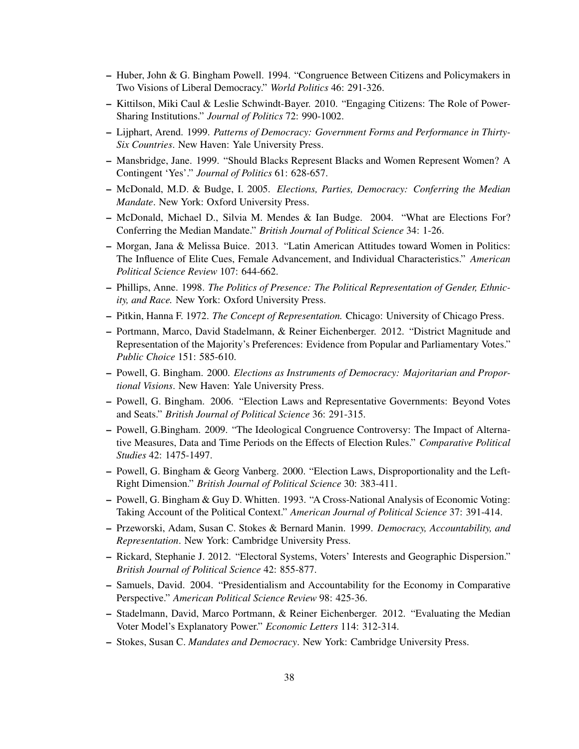- Huber, John & G. Bingham Powell. 1994. "Congruence Between Citizens and Policymakers in Two Visions of Liberal Democracy." *World Politics* 46: 291-326.
- Kittilson, Miki Caul & Leslie Schwindt-Bayer. 2010. "Engaging Citizens: The Role of Power-Sharing Institutions." *Journal of Politics* 72: 990-1002.
- Lijphart, Arend. 1999. *Patterns of Democracy: Government Forms and Performance in Thirty-Six Countries*. New Haven: Yale University Press.
- Mansbridge, Jane. 1999. "Should Blacks Represent Blacks and Women Represent Women? A Contingent 'Yes'." *Journal of Politics* 61: 628-657.
- McDonald, M.D. & Budge, I. 2005. *Elections, Parties, Democracy: Conferring the Median Mandate*. New York: Oxford University Press.
- McDonald, Michael D., Silvia M. Mendes & Ian Budge. 2004. "What are Elections For? Conferring the Median Mandate." *British Journal of Political Science* 34: 1-26.
- Morgan, Jana & Melissa Buice. 2013. "Latin American Attitudes toward Women in Politics: The Influence of Elite Cues, Female Advancement, and Individual Characteristics." *American Political Science Review* 107: 644-662.
- Phillips, Anne. 1998. *The Politics of Presence: The Political Representation of Gender, Ethnicity, and Race.* New York: Oxford University Press.
- Pitkin, Hanna F. 1972. *The Concept of Representation.* Chicago: University of Chicago Press.
- Portmann, Marco, David Stadelmann, & Reiner Eichenberger. 2012. "District Magnitude and Representation of the Majority's Preferences: Evidence from Popular and Parliamentary Votes." *Public Choice* 151: 585-610.
- Powell, G. Bingham. 2000. *Elections as Instruments of Democracy: Majoritarian and Proportional Visions*. New Haven: Yale University Press.
- Powell, G. Bingham. 2006. "Election Laws and Representative Governments: Beyond Votes and Seats." *British Journal of Political Science* 36: 291-315.
- Powell, G.Bingham. 2009. "The Ideological Congruence Controversy: The Impact of Alternative Measures, Data and Time Periods on the Effects of Election Rules." *Comparative Political Studies* 42: 1475-1497.
- Powell, G. Bingham & Georg Vanberg. 2000. "Election Laws, Disproportionality and the Left-Right Dimension." *British Journal of Political Science* 30: 383-411.
- Powell, G. Bingham & Guy D. Whitten. 1993. "A Cross-National Analysis of Economic Voting: Taking Account of the Political Context." *American Journal of Political Science* 37: 391-414.
- Przeworski, Adam, Susan C. Stokes & Bernard Manin. 1999. *Democracy, Accountability, and Representation*. New York: Cambridge University Press.
- Rickard, Stephanie J. 2012. "Electoral Systems, Voters' Interests and Geographic Dispersion." *British Journal of Political Science* 42: 855-877.
- Samuels, David. 2004. "Presidentialism and Accountability for the Economy in Comparative Perspective." *American Political Science Review* 98: 425-36.
- Stadelmann, David, Marco Portmann, & Reiner Eichenberger. 2012. "Evaluating the Median Voter Model's Explanatory Power." *Economic Letters* 114: 312-314.
- Stokes, Susan C. *Mandates and Democracy*. New York: Cambridge University Press.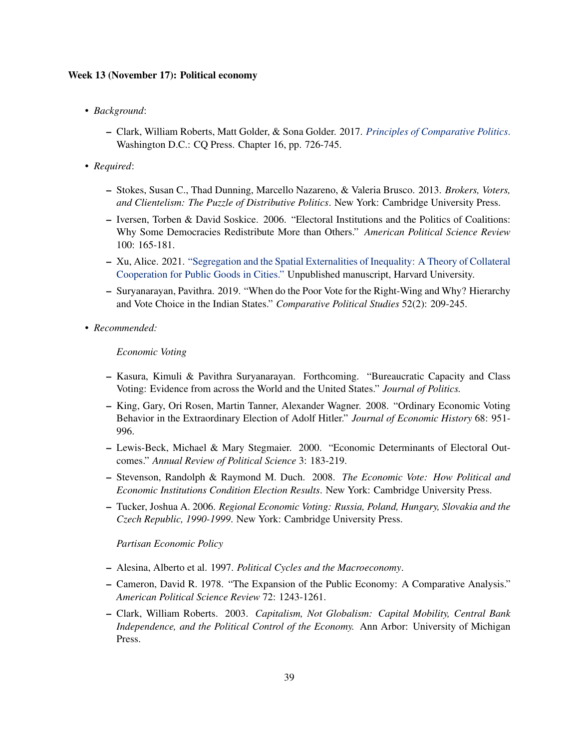## Week 13 (November 17): Political economy

- *Background*:
	- Clark, William Roberts, Matt Golder, & Sona Golder. 2017. *[Principles of Comparative Politics](https://us.sagepub.com/en-us/nam/principles-of-comparative-politics/book243842)*. Washington D.C.: CQ Press. Chapter 16, pp. 726-745.
- *Required*:
	- Stokes, Susan C., Thad Dunning, Marcello Nazareno, & Valeria Brusco. 2013. *Brokers, Voters, and Clientelism: The Puzzle of Distributive Politics*. New York: Cambridge University Press.
	- Iversen, Torben & David Soskice. 2006. "Electoral Institutions and the Politics of Coalitions: Why Some Democracies Redistribute More than Others." *American Political Science Review* 100: 165-181.
	- Xu, Alice. 2021. ["Segregation and the Spatial Externalities of Inequality: A Theory of Collateral](https://www.dropbox.com/s/jbjkujevg1zumo7/JMP_alicexu_082021.pdf?dl=0) [Cooperation for Public Goods in Cities."](https://www.dropbox.com/s/jbjkujevg1zumo7/JMP_alicexu_082021.pdf?dl=0) Unpublished manuscript, Harvard University.
	- Suryanarayan, Pavithra. 2019. "When do the Poor Vote for the Right-Wing and Why? Hierarchy and Vote Choice in the Indian States." *Comparative Political Studies* 52(2): 209-245.
- *Recommended:*

#### *Economic Voting*

- Kasura, Kimuli & Pavithra Suryanarayan. Forthcoming. "Bureaucratic Capacity and Class Voting: Evidence from across the World and the United States." *Journal of Politics.*
- King, Gary, Ori Rosen, Martin Tanner, Alexander Wagner. 2008. "Ordinary Economic Voting Behavior in the Extraordinary Election of Adolf Hitler." *Journal of Economic History* 68: 951- 996.
- Lewis-Beck, Michael & Mary Stegmaier. 2000. "Economic Determinants of Electoral Outcomes." *Annual Review of Political Science* 3: 183-219.
- Stevenson, Randolph & Raymond M. Duch. 2008. *The Economic Vote: How Political and Economic Institutions Condition Election Results*. New York: Cambridge University Press.
- Tucker, Joshua A. 2006. *Regional Economic Voting: Russia, Poland, Hungary, Slovakia and the Czech Republic, 1990-1999*. New York: Cambridge University Press.

#### *Partisan Economic Policy*

- Alesina, Alberto et al. 1997. *Political Cycles and the Macroeconomy*.
- Cameron, David R. 1978. "The Expansion of the Public Economy: A Comparative Analysis." *American Political Science Review* 72: 1243-1261.
- Clark, William Roberts. 2003. *Capitalism, Not Globalism: Capital Mobility, Central Bank Independence, and the Political Control of the Economy.* Ann Arbor: University of Michigan Press.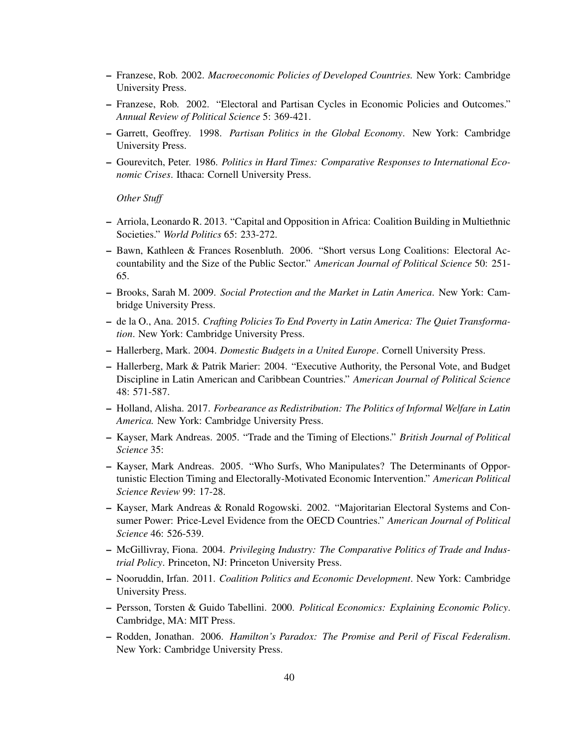- Franzese, Rob. 2002. *Macroeconomic Policies of Developed Countries.* New York: Cambridge University Press.
- Franzese, Rob. 2002. "Electoral and Partisan Cycles in Economic Policies and Outcomes." *Annual Review of Political Science* 5: 369-421.
- Garrett, Geoffrey. 1998. *Partisan Politics in the Global Economy*. New York: Cambridge University Press.
- Gourevitch, Peter. 1986. *Politics in Hard Times: Comparative Responses to International Economic Crises*. Ithaca: Cornell University Press.

*Other Stuff*

- Arriola, Leonardo R. 2013. "Capital and Opposition in Africa: Coalition Building in Multiethnic Societies." *World Politics* 65: 233-272.
- Bawn, Kathleen & Frances Rosenbluth. 2006. "Short versus Long Coalitions: Electoral Accountability and the Size of the Public Sector." *American Journal of Political Science* 50: 251- 65.
- Brooks, Sarah M. 2009. *Social Protection and the Market in Latin America*. New York: Cambridge University Press.
- de la O., Ana. 2015. *Crafting Policies To End Poverty in Latin America: The Quiet Transformation*. New York: Cambridge University Press.
- Hallerberg, Mark. 2004. *Domestic Budgets in a United Europe*. Cornell University Press.
- Hallerberg, Mark & Patrik Marier: 2004. "Executive Authority, the Personal Vote, and Budget Discipline in Latin American and Caribbean Countries." *American Journal of Political Science* 48: 571-587.
- Holland, Alisha. 2017. *Forbearance as Redistribution: The Politics of Informal Welfare in Latin America.* New York: Cambridge University Press.
- Kayser, Mark Andreas. 2005. "Trade and the Timing of Elections." *British Journal of Political Science* 35:
- Kayser, Mark Andreas. 2005. "Who Surfs, Who Manipulates? The Determinants of Opportunistic Election Timing and Electorally-Motivated Economic Intervention." *American Political Science Review* 99: 17-28.
- Kayser, Mark Andreas & Ronald Rogowski. 2002. "Majoritarian Electoral Systems and Consumer Power: Price-Level Evidence from the OECD Countries." *American Journal of Political Science* 46: 526-539.
- McGillivray, Fiona. 2004. *Privileging Industry: The Comparative Politics of Trade and Industrial Policy*. Princeton, NJ: Princeton University Press.
- Nooruddin, Irfan. 2011. *Coalition Politics and Economic Development*. New York: Cambridge University Press.
- Persson, Torsten & Guido Tabellini. 2000. *Political Economics: Explaining Economic Policy*. Cambridge, MA: MIT Press.
- Rodden, Jonathan. 2006. *Hamilton's Paradox: The Promise and Peril of Fiscal Federalism*. New York: Cambridge University Press.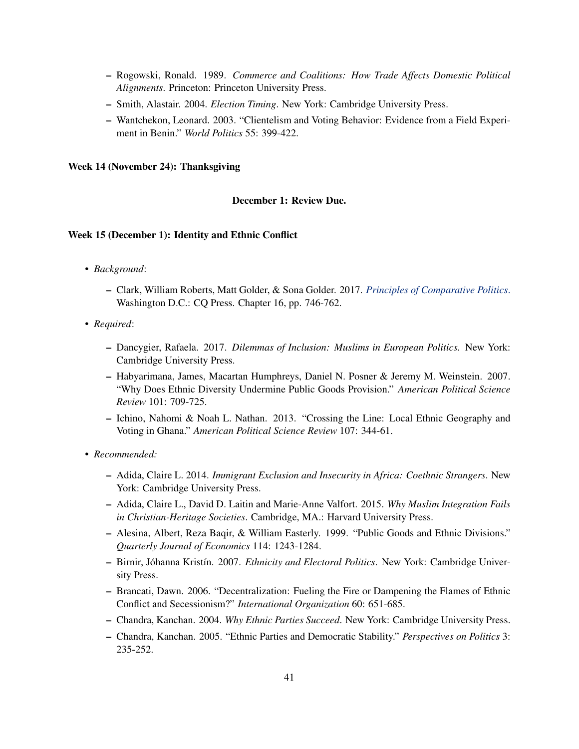- Rogowski, Ronald. 1989. *Commerce and Coalitions: How Trade Affects Domestic Political Alignments*. Princeton: Princeton University Press.
- Smith, Alastair. 2004. *Election Timing*. New York: Cambridge University Press.
- Wantchekon, Leonard. 2003. "Clientelism and Voting Behavior: Evidence from a Field Experiment in Benin." *World Politics* 55: 399-422.

## Week 14 (November 24): Thanksgiving

## December 1: Review Due.

## Week 15 (December 1): Identity and Ethnic Conflict

- *Background*:
	- Clark, William Roberts, Matt Golder, & Sona Golder. 2017. *[Principles of Comparative Politics](https://us.sagepub.com/en-us/nam/principles-of-comparative-politics/book243842)*. Washington D.C.: CQ Press. Chapter 16, pp. 746-762.
- *Required*:
	- Dancygier, Rafaela. 2017. *Dilemmas of Inclusion: Muslims in European Politics.* New York: Cambridge University Press.
	- Habyarimana, James, Macartan Humphreys, Daniel N. Posner & Jeremy M. Weinstein. 2007. "Why Does Ethnic Diversity Undermine Public Goods Provision." *American Political Science Review* 101: 709-725.
	- Ichino, Nahomi & Noah L. Nathan. 2013. "Crossing the Line: Local Ethnic Geography and Voting in Ghana." *American Political Science Review* 107: 344-61.
- *Recommended:*
	- Adida, Claire L. 2014. *Immigrant Exclusion and Insecurity in Africa: Coethnic Strangers*. New York: Cambridge University Press.
	- Adida, Claire L., David D. Laitin and Marie-Anne Valfort. 2015. *Why Muslim Integration Fails in Christian-Heritage Societies*. Cambridge, MA.: Harvard University Press.
	- Alesina, Albert, Reza Baqir, & William Easterly. 1999. "Public Goods and Ethnic Divisions." *Quarterly Journal of Economics* 114: 1243-1284.
	- Birnir, Jóhanna Kristín. 2007. *Ethnicity and Electoral Politics*. New York: Cambridge University Press.
	- Brancati, Dawn. 2006. "Decentralization: Fueling the Fire or Dampening the Flames of Ethnic Conflict and Secessionism?" *International Organization* 60: 651-685.
	- Chandra, Kanchan. 2004. *Why Ethnic Parties Succeed*. New York: Cambridge University Press.
	- Chandra, Kanchan. 2005. "Ethnic Parties and Democratic Stability." *Perspectives on Politics* 3: 235-252.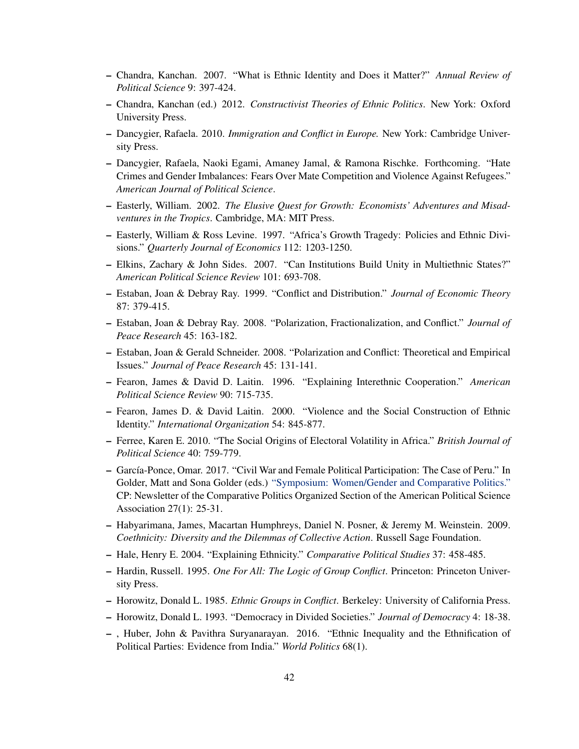- Chandra, Kanchan. 2007. "What is Ethnic Identity and Does it Matter?" *Annual Review of Political Science* 9: 397-424.
- Chandra, Kanchan (ed.) 2012. *Constructivist Theories of Ethnic Politics*. New York: Oxford University Press.
- Dancygier, Rafaela. 2010. *Immigration and Conflict in Europe.* New York: Cambridge University Press.
- Dancygier, Rafaela, Naoki Egami, Amaney Jamal, & Ramona Rischke. Forthcoming. "Hate Crimes and Gender Imbalances: Fears Over Mate Competition and Violence Against Refugees." *American Journal of Political Science*.
- Easterly, William. 2002. *The Elusive Quest for Growth: Economists' Adventures and Misadventures in the Tropics*. Cambridge, MA: MIT Press.
- Easterly, William & Ross Levine. 1997. "Africa's Growth Tragedy: Policies and Ethnic Divisions." *Quarterly Journal of Economics* 112: 1203-1250.
- Elkins, Zachary & John Sides. 2007. "Can Institutions Build Unity in Multiethnic States?" *American Political Science Review* 101: 693-708.
- Estaban, Joan & Debray Ray. 1999. "Conflict and Distribution." *Journal of Economic Theory* 87: 379-415.
- Estaban, Joan & Debray Ray. 2008. "Polarization, Fractionalization, and Conflict." *Journal of Peace Research* 45: 163-182.
- Estaban, Joan & Gerald Schneider. 2008. "Polarization and Conflict: Theoretical and Empirical Issues." *Journal of Peace Research* 45: 131-141.
- Fearon, James & David D. Laitin. 1996. "Explaining Interethnic Cooperation." *American Political Science Review* 90: 715-735.
- Fearon, James D. & David Laitin. 2000. "Violence and the Social Construction of Ethnic Identity." *International Organization* 54: 845-877.
- Ferree, Karen E. 2010. "The Social Origins of Electoral Volatility in Africa." *British Journal of Political Science* 40: 759-779.
- García-Ponce, Omar. 2017. "Civil War and Female Political Participation: The Case of Peru." In Golder, Matt and Sona Golder (eds.) ["Symposium: Women/Gender and Comparative Politics."](http://comparativenewsletter.com/files/archived_newsletters/Newsletter_2017Sp.pdf) CP: Newsletter of the Comparative Politics Organized Section of the American Political Science Association 27(1): 25-31.
- Habyarimana, James, Macartan Humphreys, Daniel N. Posner, & Jeremy M. Weinstein. 2009. *Coethnicity: Diversity and the Dilemmas of Collective Action*. Russell Sage Foundation.
- Hale, Henry E. 2004. "Explaining Ethnicity." *Comparative Political Studies* 37: 458-485.
- Hardin, Russell. 1995. *One For All: The Logic of Group Conflict*. Princeton: Princeton University Press.
- Horowitz, Donald L. 1985. *Ethnic Groups in Conflict*. Berkeley: University of California Press.
- Horowitz, Donald L. 1993. "Democracy in Divided Societies." *Journal of Democracy* 4: 18-38.
- , Huber, John & Pavithra Suryanarayan. 2016. "Ethnic Inequality and the Ethnification of Political Parties: Evidence from India." *World Politics* 68(1).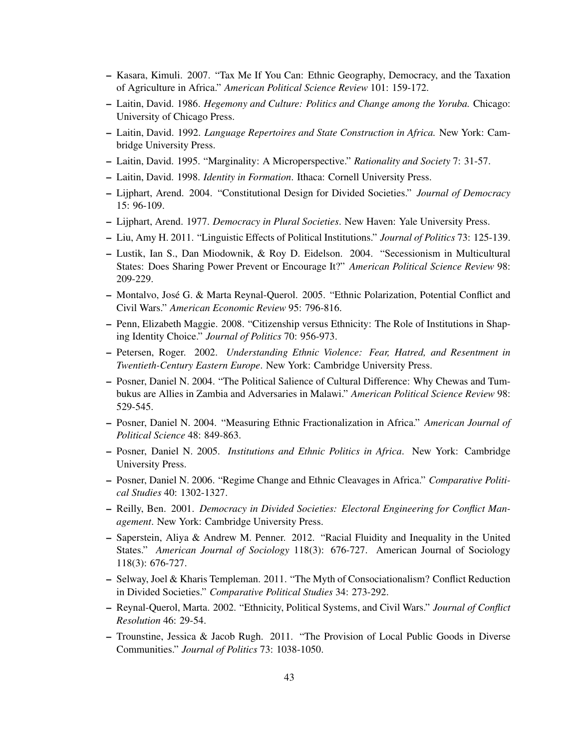- Kasara, Kimuli. 2007. "Tax Me If You Can: Ethnic Geography, Democracy, and the Taxation of Agriculture in Africa." *American Political Science Review* 101: 159-172.
- Laitin, David. 1986. *Hegemony and Culture: Politics and Change among the Yoruba.* Chicago: University of Chicago Press.
- Laitin, David. 1992. *Language Repertoires and State Construction in Africa.* New York: Cambridge University Press.
- Laitin, David. 1995. "Marginality: A Microperspective." *Rationality and Society* 7: 31-57.
- Laitin, David. 1998. *Identity in Formation*. Ithaca: Cornell University Press.
- Lijphart, Arend. 2004. "Constitutional Design for Divided Societies." *Journal of Democracy* 15: 96-109.
- Lijphart, Arend. 1977. *Democracy in Plural Societies*. New Haven: Yale University Press.
- Liu, Amy H. 2011. "Linguistic Effects of Political Institutions." *Journal of Politics* 73: 125-139.
- Lustik, Ian S., Dan Miodownik, & Roy D. Eidelson. 2004. "Secessionism in Multicultural States: Does Sharing Power Prevent or Encourage It?" *American Political Science Review* 98: 209-229.
- Montalvo, José G. & Marta Reynal-Querol. 2005. "Ethnic Polarization, Potential Conflict and Civil Wars." *American Economic Review* 95: 796-816.
- Penn, Elizabeth Maggie. 2008. "Citizenship versus Ethnicity: The Role of Institutions in Shaping Identity Choice." *Journal of Politics* 70: 956-973.
- Petersen, Roger. 2002. *Understanding Ethnic Violence: Fear, Hatred, and Resentment in Twentieth-Century Eastern Europe*. New York: Cambridge University Press.
- Posner, Daniel N. 2004. "The Political Salience of Cultural Difference: Why Chewas and Tumbukus are Allies in Zambia and Adversaries in Malawi." *American Political Science Review* 98: 529-545.
- Posner, Daniel N. 2004. "Measuring Ethnic Fractionalization in Africa." *American Journal of Political Science* 48: 849-863.
- Posner, Daniel N. 2005. *Institutions and Ethnic Politics in Africa*. New York: Cambridge University Press.
- Posner, Daniel N. 2006. "Regime Change and Ethnic Cleavages in Africa." *Comparative Political Studies* 40: 1302-1327.
- Reilly, Ben. 2001. *Democracy in Divided Societies: Electoral Engineering for Conflict Management*. New York: Cambridge University Press.
- Saperstein, Aliya & Andrew M. Penner. 2012. "Racial Fluidity and Inequality in the United States." *American Journal of Sociology* 118(3): 676-727. American Journal of Sociology 118(3): 676-727.
- Selway, Joel & Kharis Templeman. 2011. "The Myth of Consociationalism? Conflict Reduction in Divided Societies." *Comparative Political Studies* 34: 273-292.
- Reynal-Querol, Marta. 2002. "Ethnicity, Political Systems, and Civil Wars." *Journal of Conflict Resolution* 46: 29-54.
- Trounstine, Jessica & Jacob Rugh. 2011. "The Provision of Local Public Goods in Diverse Communities." *Journal of Politics* 73: 1038-1050.